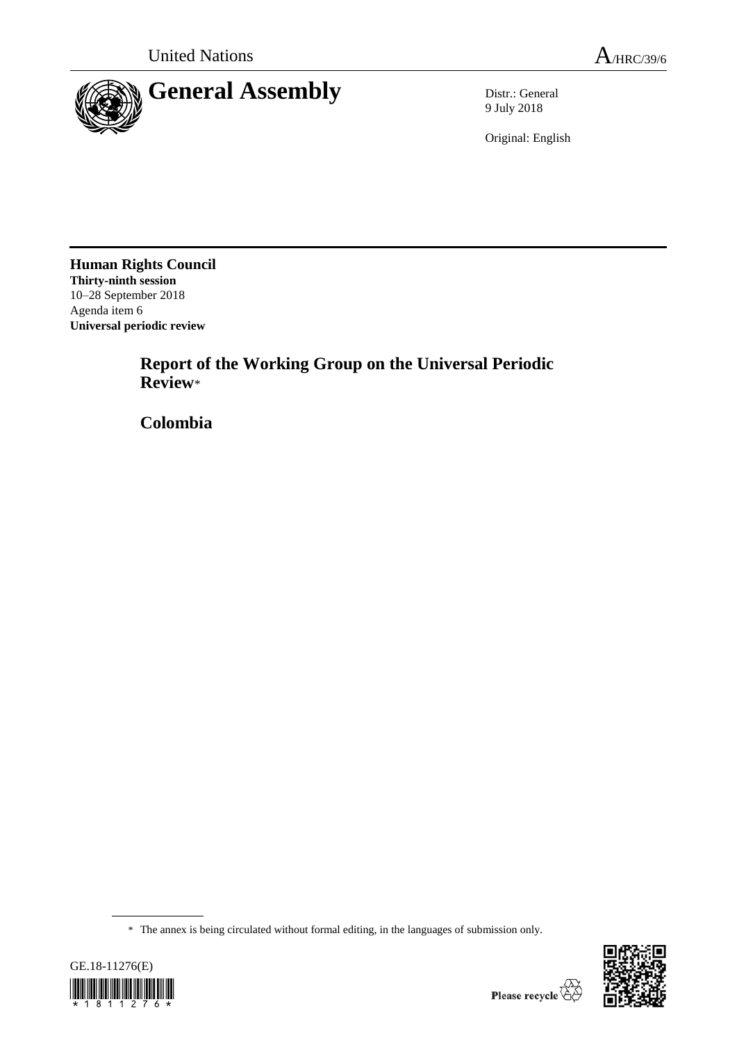

9 July 2018

Original: English

**Human Rights Council Thirty-ninth session** 10–28 September 2018 Agenda item 6 **Universal periodic review**

> **Report of the Working Group on the Universal Periodic Review**\*

**Colombia**

<sup>\*</sup> The annex is being circulated without formal editing, in the languages of submission only.



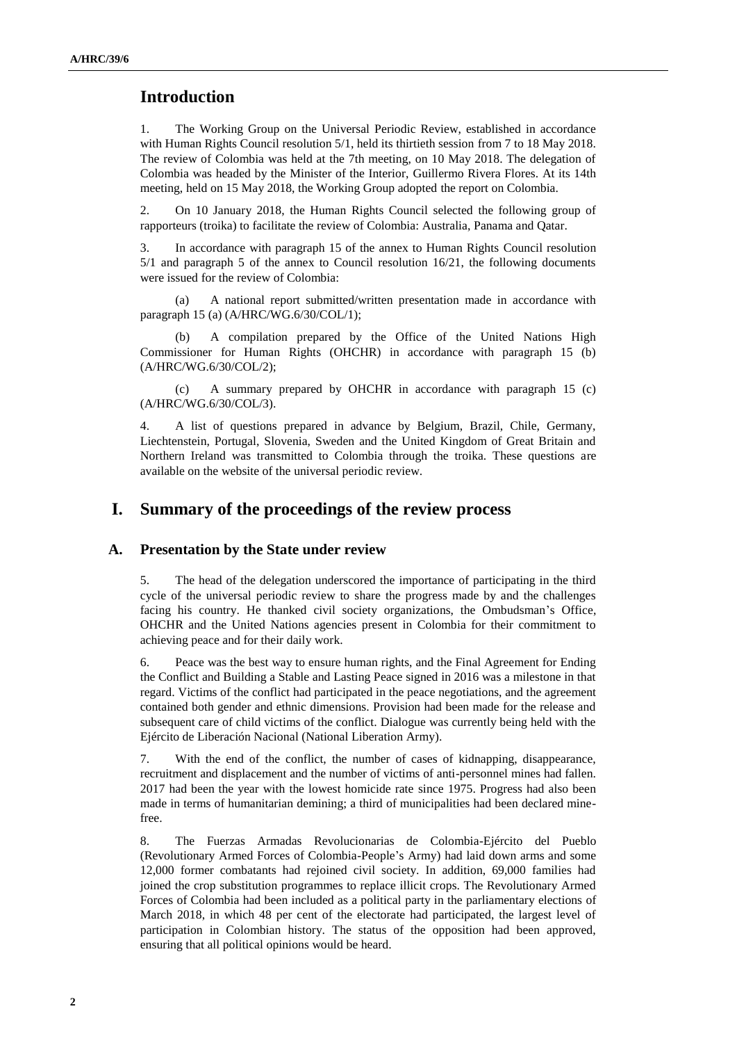## **Introduction**

1. The Working Group on the Universal Periodic Review, established in accordance with Human Rights Council resolution 5/1, held its thirtieth session from 7 to 18 May 2018. The review of Colombia was held at the 7th meeting, on 10 May 2018. The delegation of Colombia was headed by the Minister of the Interior, Guillermo Rivera Flores. At its 14th meeting, held on 15 May 2018, the Working Group adopted the report on Colombia.

2. On 10 January 2018, the Human Rights Council selected the following group of rapporteurs (troika) to facilitate the review of Colombia: Australia, Panama and Qatar.

3. In accordance with paragraph 15 of the annex to Human Rights Council resolution 5/1 and paragraph 5 of the annex to Council resolution 16/21, the following documents were issued for the review of Colombia:

(a) A national report submitted/written presentation made in accordance with paragraph 15 (a) (A/HRC/WG.6/30/COL/1);

(b) A compilation prepared by the Office of the United Nations High Commissioner for Human Rights (OHCHR) in accordance with paragraph 15 (b) (A/HRC/WG.6/30/COL/2);

(c) A summary prepared by OHCHR in accordance with paragraph 15 (c) (A/HRC/WG.6/30/COL/3).

4. A list of questions prepared in advance by Belgium, Brazil, Chile, Germany, Liechtenstein, Portugal, Slovenia, Sweden and the United Kingdom of Great Britain and Northern Ireland was transmitted to Colombia through the troika. These questions are available on the website of the universal periodic review.

### **I. Summary of the proceedings of the review process**

#### **A. Presentation by the State under review**

5. The head of the delegation underscored the importance of participating in the third cycle of the universal periodic review to share the progress made by and the challenges facing his country. He thanked civil society organizations, the Ombudsman's Office, OHCHR and the United Nations agencies present in Colombia for their commitment to achieving peace and for their daily work.

6. Peace was the best way to ensure human rights, and the Final Agreement for Ending the Conflict and Building a Stable and Lasting Peace signed in 2016 was a milestone in that regard. Victims of the conflict had participated in the peace negotiations, and the agreement contained both gender and ethnic dimensions. Provision had been made for the release and subsequent care of child victims of the conflict. Dialogue was currently being held with the Ejército de Liberación Nacional (National Liberation Army).

7. With the end of the conflict, the number of cases of kidnapping, disappearance, recruitment and displacement and the number of victims of anti-personnel mines had fallen. 2017 had been the year with the lowest homicide rate since 1975. Progress had also been made in terms of humanitarian demining; a third of municipalities had been declared minefree.

8. The Fuerzas Armadas Revolucionarias de Colombia-Ejército del Pueblo (Revolutionary Armed Forces of Colombia-People's Army) had laid down arms and some 12,000 former combatants had rejoined civil society. In addition, 69,000 families had joined the crop substitution programmes to replace illicit crops. The Revolutionary Armed Forces of Colombia had been included as a political party in the parliamentary elections of March 2018, in which 48 per cent of the electorate had participated, the largest level of participation in Colombian history. The status of the opposition had been approved, ensuring that all political opinions would be heard.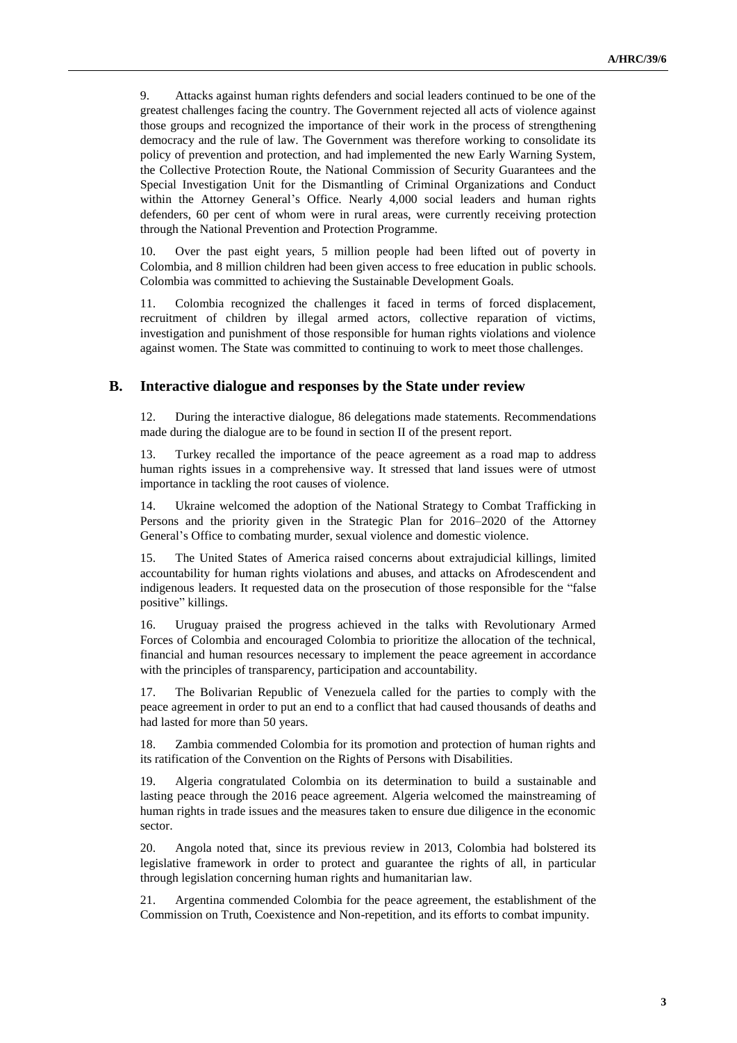9. Attacks against human rights defenders and social leaders continued to be one of the greatest challenges facing the country. The Government rejected all acts of violence against those groups and recognized the importance of their work in the process of strengthening democracy and the rule of law. The Government was therefore working to consolidate its policy of prevention and protection, and had implemented the new Early Warning System, the Collective Protection Route, the National Commission of Security Guarantees and the Special Investigation Unit for the Dismantling of Criminal Organizations and Conduct within the Attorney General's Office. Nearly 4,000 social leaders and human rights defenders, 60 per cent of whom were in rural areas, were currently receiving protection through the National Prevention and Protection Programme.

10. Over the past eight years, 5 million people had been lifted out of poverty in Colombia, and 8 million children had been given access to free education in public schools. Colombia was committed to achieving the Sustainable Development Goals.

11. Colombia recognized the challenges it faced in terms of forced displacement, recruitment of children by illegal armed actors, collective reparation of victims, investigation and punishment of those responsible for human rights violations and violence against women. The State was committed to continuing to work to meet those challenges.

#### **B. Interactive dialogue and responses by the State under review**

12. During the interactive dialogue, 86 delegations made statements. Recommendations made during the dialogue are to be found in section II of the present report.

13. Turkey recalled the importance of the peace agreement as a road map to address human rights issues in a comprehensive way. It stressed that land issues were of utmost importance in tackling the root causes of violence.

14. Ukraine welcomed the adoption of the National Strategy to Combat Trafficking in Persons and the priority given in the Strategic Plan for 2016–2020 of the Attorney General's Office to combating murder, sexual violence and domestic violence.

15. The United States of America raised concerns about extrajudicial killings, limited accountability for human rights violations and abuses, and attacks on Afrodescendent and indigenous leaders. It requested data on the prosecution of those responsible for the "false positive" killings.

16. Uruguay praised the progress achieved in the talks with Revolutionary Armed Forces of Colombia and encouraged Colombia to prioritize the allocation of the technical, financial and human resources necessary to implement the peace agreement in accordance with the principles of transparency, participation and accountability.

17. The Bolivarian Republic of Venezuela called for the parties to comply with the peace agreement in order to put an end to a conflict that had caused thousands of deaths and had lasted for more than 50 years.

18. Zambia commended Colombia for its promotion and protection of human rights and its ratification of the Convention on the Rights of Persons with Disabilities.

19. Algeria congratulated Colombia on its determination to build a sustainable and lasting peace through the 2016 peace agreement. Algeria welcomed the mainstreaming of human rights in trade issues and the measures taken to ensure due diligence in the economic sector.

20. Angola noted that, since its previous review in 2013, Colombia had bolstered its legislative framework in order to protect and guarantee the rights of all, in particular through legislation concerning human rights and humanitarian law.

21. Argentina commended Colombia for the peace agreement, the establishment of the Commission on Truth, Coexistence and Non-repetition, and its efforts to combat impunity.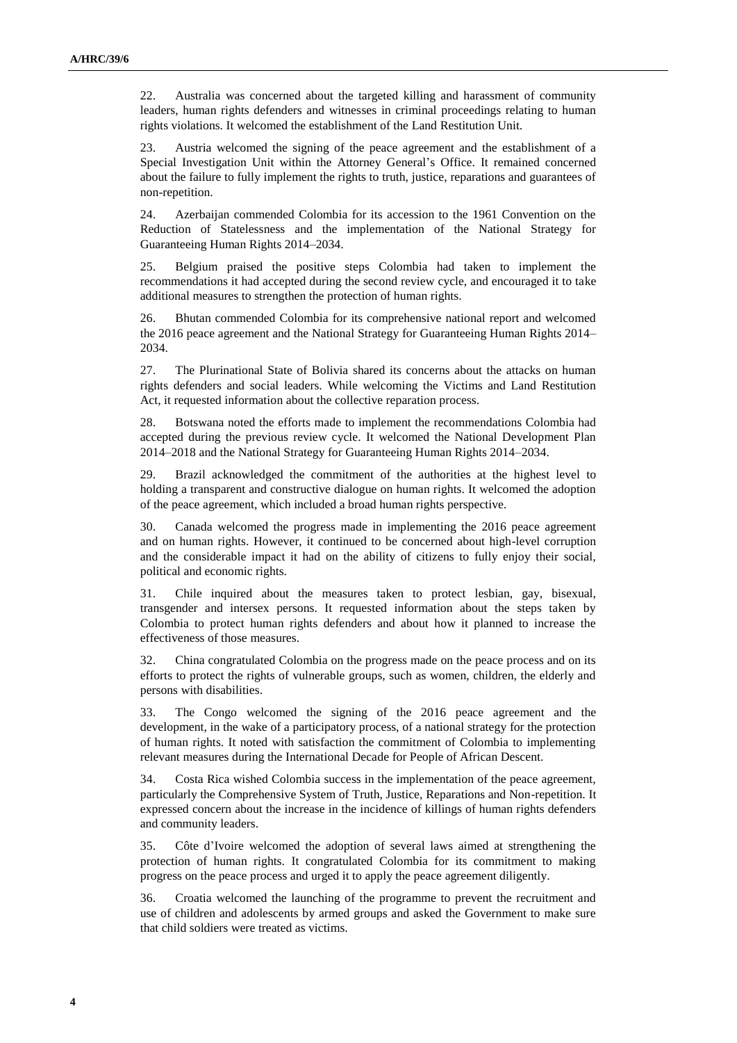22. Australia was concerned about the targeted killing and harassment of community leaders, human rights defenders and witnesses in criminal proceedings relating to human rights violations. It welcomed the establishment of the Land Restitution Unit.

23. Austria welcomed the signing of the peace agreement and the establishment of a Special Investigation Unit within the Attorney General's Office. It remained concerned about the failure to fully implement the rights to truth, justice, reparations and guarantees of non-repetition.

24. Azerbaijan commended Colombia for its accession to the 1961 Convention on the Reduction of Statelessness and the implementation of the National Strategy for Guaranteeing Human Rights 2014–2034.

25. Belgium praised the positive steps Colombia had taken to implement the recommendations it had accepted during the second review cycle, and encouraged it to take additional measures to strengthen the protection of human rights.

26. Bhutan commended Colombia for its comprehensive national report and welcomed the 2016 peace agreement and the National Strategy for Guaranteeing Human Rights 2014– 2034.

27. The Plurinational State of Bolivia shared its concerns about the attacks on human rights defenders and social leaders. While welcoming the Victims and Land Restitution Act, it requested information about the collective reparation process.

28. Botswana noted the efforts made to implement the recommendations Colombia had accepted during the previous review cycle. It welcomed the National Development Plan 2014–2018 and the National Strategy for Guaranteeing Human Rights 2014–2034.

29. Brazil acknowledged the commitment of the authorities at the highest level to holding a transparent and constructive dialogue on human rights. It welcomed the adoption of the peace agreement, which included a broad human rights perspective.

30. Canada welcomed the progress made in implementing the 2016 peace agreement and on human rights. However, it continued to be concerned about high-level corruption and the considerable impact it had on the ability of citizens to fully enjoy their social, political and economic rights.

31. Chile inquired about the measures taken to protect lesbian, gay, bisexual, transgender and intersex persons. It requested information about the steps taken by Colombia to protect human rights defenders and about how it planned to increase the effectiveness of those measures.

32. China congratulated Colombia on the progress made on the peace process and on its efforts to protect the rights of vulnerable groups, such as women, children, the elderly and persons with disabilities.

33. The Congo welcomed the signing of the 2016 peace agreement and the development, in the wake of a participatory process, of a national strategy for the protection of human rights. It noted with satisfaction the commitment of Colombia to implementing relevant measures during the International Decade for People of African Descent.

34. Costa Rica wished Colombia success in the implementation of the peace agreement, particularly the Comprehensive System of Truth, Justice, Reparations and Non-repetition. It expressed concern about the increase in the incidence of killings of human rights defenders and community leaders.

35. Côte d'Ivoire welcomed the adoption of several laws aimed at strengthening the protection of human rights. It congratulated Colombia for its commitment to making progress on the peace process and urged it to apply the peace agreement diligently.

36. Croatia welcomed the launching of the programme to prevent the recruitment and use of children and adolescents by armed groups and asked the Government to make sure that child soldiers were treated as victims.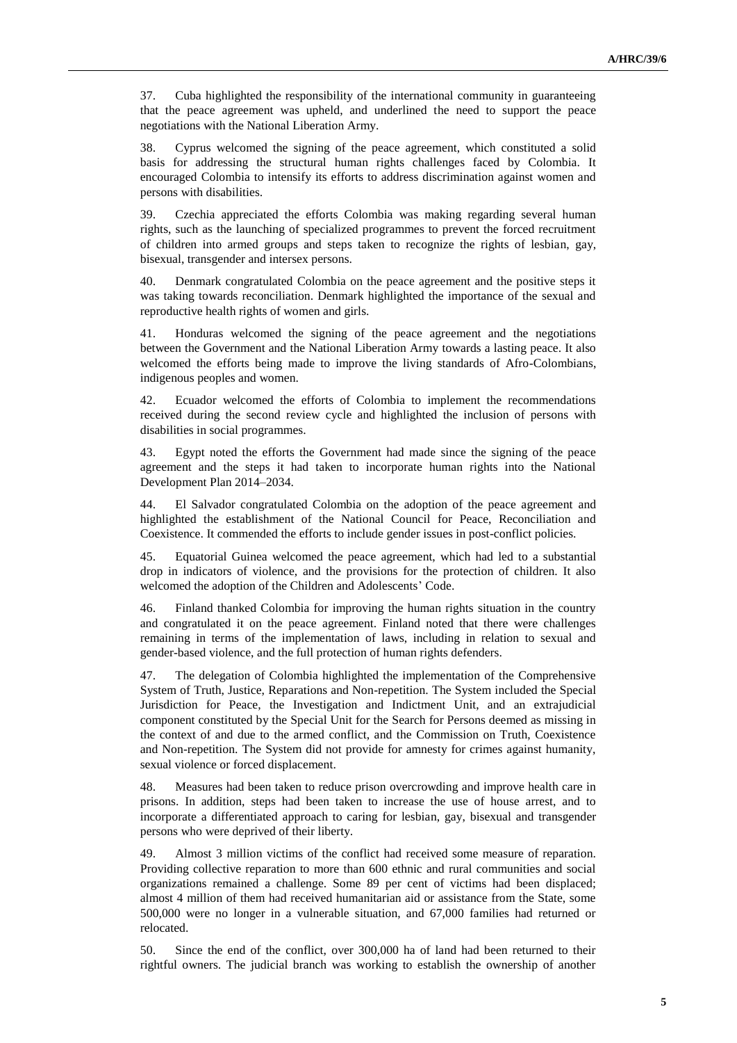37. Cuba highlighted the responsibility of the international community in guaranteeing that the peace agreement was upheld, and underlined the need to support the peace negotiations with the National Liberation Army.

38. Cyprus welcomed the signing of the peace agreement, which constituted a solid basis for addressing the structural human rights challenges faced by Colombia. It encouraged Colombia to intensify its efforts to address discrimination against women and persons with disabilities.

39. Czechia appreciated the efforts Colombia was making regarding several human rights, such as the launching of specialized programmes to prevent the forced recruitment of children into armed groups and steps taken to recognize the rights of lesbian, gay, bisexual, transgender and intersex persons.

40. Denmark congratulated Colombia on the peace agreement and the positive steps it was taking towards reconciliation. Denmark highlighted the importance of the sexual and reproductive health rights of women and girls.

41. Honduras welcomed the signing of the peace agreement and the negotiations between the Government and the National Liberation Army towards a lasting peace. It also welcomed the efforts being made to improve the living standards of Afro-Colombians, indigenous peoples and women.

42. Ecuador welcomed the efforts of Colombia to implement the recommendations received during the second review cycle and highlighted the inclusion of persons with disabilities in social programmes.

43. Egypt noted the efforts the Government had made since the signing of the peace agreement and the steps it had taken to incorporate human rights into the National Development Plan 2014–2034.

44. El Salvador congratulated Colombia on the adoption of the peace agreement and highlighted the establishment of the National Council for Peace, Reconciliation and Coexistence. It commended the efforts to include gender issues in post-conflict policies.

45. Equatorial Guinea welcomed the peace agreement, which had led to a substantial drop in indicators of violence, and the provisions for the protection of children. It also welcomed the adoption of the Children and Adolescents' Code.

46. Finland thanked Colombia for improving the human rights situation in the country and congratulated it on the peace agreement. Finland noted that there were challenges remaining in terms of the implementation of laws, including in relation to sexual and gender-based violence, and the full protection of human rights defenders.

47. The delegation of Colombia highlighted the implementation of the Comprehensive System of Truth, Justice, Reparations and Non-repetition. The System included the Special Jurisdiction for Peace, the Investigation and Indictment Unit, and an extrajudicial component constituted by the Special Unit for the Search for Persons deemed as missing in the context of and due to the armed conflict, and the Commission on Truth, Coexistence and Non-repetition. The System did not provide for amnesty for crimes against humanity, sexual violence or forced displacement.

48. Measures had been taken to reduce prison overcrowding and improve health care in prisons. In addition, steps had been taken to increase the use of house arrest, and to incorporate a differentiated approach to caring for lesbian, gay, bisexual and transgender persons who were deprived of their liberty.

49. Almost 3 million victims of the conflict had received some measure of reparation. Providing collective reparation to more than 600 ethnic and rural communities and social organizations remained a challenge. Some 89 per cent of victims had been displaced; almost 4 million of them had received humanitarian aid or assistance from the State, some 500,000 were no longer in a vulnerable situation, and 67,000 families had returned or relocated.

50. Since the end of the conflict, over 300,000 ha of land had been returned to their rightful owners. The judicial branch was working to establish the ownership of another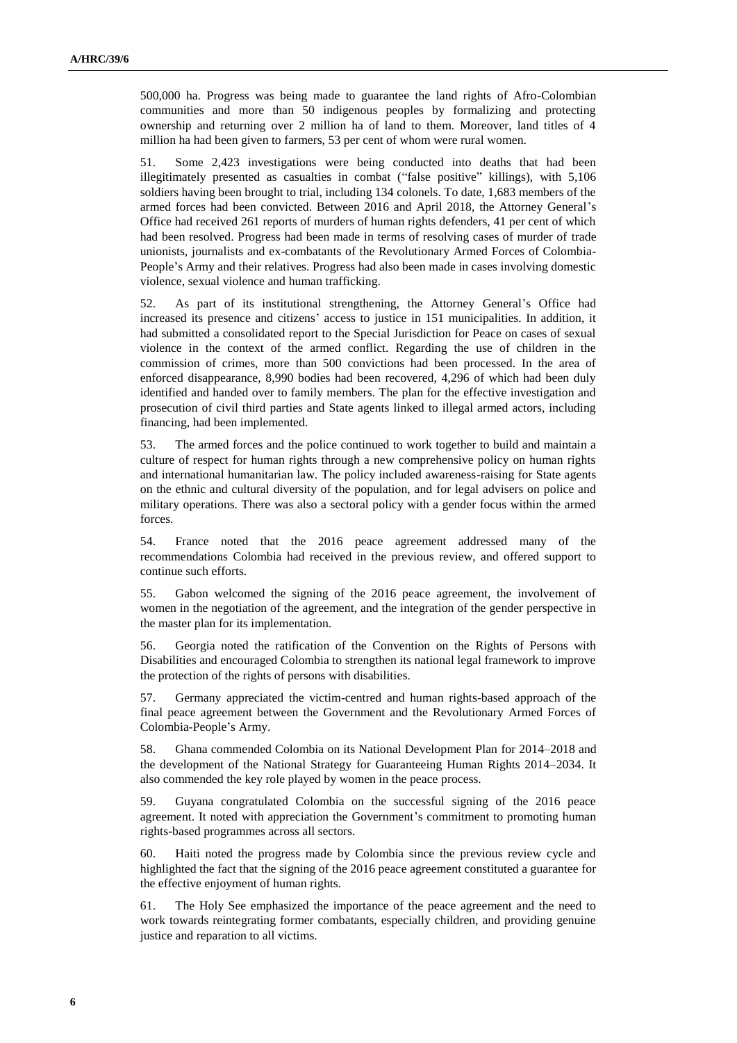500,000 ha. Progress was being made to guarantee the land rights of Afro-Colombian communities and more than 50 indigenous peoples by formalizing and protecting ownership and returning over 2 million ha of land to them. Moreover, land titles of 4 million ha had been given to farmers, 53 per cent of whom were rural women.

51. Some 2,423 investigations were being conducted into deaths that had been illegitimately presented as casualties in combat ("false positive" killings), with 5,106 soldiers having been brought to trial, including 134 colonels. To date, 1,683 members of the armed forces had been convicted. Between 2016 and April 2018, the Attorney General's Office had received 261 reports of murders of human rights defenders, 41 per cent of which had been resolved. Progress had been made in terms of resolving cases of murder of trade unionists, journalists and ex-combatants of the Revolutionary Armed Forces of Colombia-People's Army and their relatives. Progress had also been made in cases involving domestic violence, sexual violence and human trafficking.

52. As part of its institutional strengthening, the Attorney General's Office had increased its presence and citizens' access to justice in 151 municipalities. In addition, it had submitted a consolidated report to the Special Jurisdiction for Peace on cases of sexual violence in the context of the armed conflict. Regarding the use of children in the commission of crimes, more than 500 convictions had been processed. In the area of enforced disappearance, 8,990 bodies had been recovered, 4,296 of which had been duly identified and handed over to family members. The plan for the effective investigation and prosecution of civil third parties and State agents linked to illegal armed actors, including financing, had been implemented.

53. The armed forces and the police continued to work together to build and maintain a culture of respect for human rights through a new comprehensive policy on human rights and international humanitarian law. The policy included awareness-raising for State agents on the ethnic and cultural diversity of the population, and for legal advisers on police and military operations. There was also a sectoral policy with a gender focus within the armed forces.

54. France noted that the 2016 peace agreement addressed many of the recommendations Colombia had received in the previous review, and offered support to continue such efforts.

55. Gabon welcomed the signing of the 2016 peace agreement, the involvement of women in the negotiation of the agreement, and the integration of the gender perspective in the master plan for its implementation.

56. Georgia noted the ratification of the Convention on the Rights of Persons with Disabilities and encouraged Colombia to strengthen its national legal framework to improve the protection of the rights of persons with disabilities.

57. Germany appreciated the victim-centred and human rights-based approach of the final peace agreement between the Government and the Revolutionary Armed Forces of Colombia-People's Army.

58. Ghana commended Colombia on its National Development Plan for 2014–2018 and the development of the National Strategy for Guaranteeing Human Rights 2014–2034. It also commended the key role played by women in the peace process.

59. Guyana congratulated Colombia on the successful signing of the 2016 peace agreement. It noted with appreciation the Government's commitment to promoting human rights-based programmes across all sectors.

60. Haiti noted the progress made by Colombia since the previous review cycle and highlighted the fact that the signing of the 2016 peace agreement constituted a guarantee for the effective enjoyment of human rights.

61. The Holy See emphasized the importance of the peace agreement and the need to work towards reintegrating former combatants, especially children, and providing genuine justice and reparation to all victims.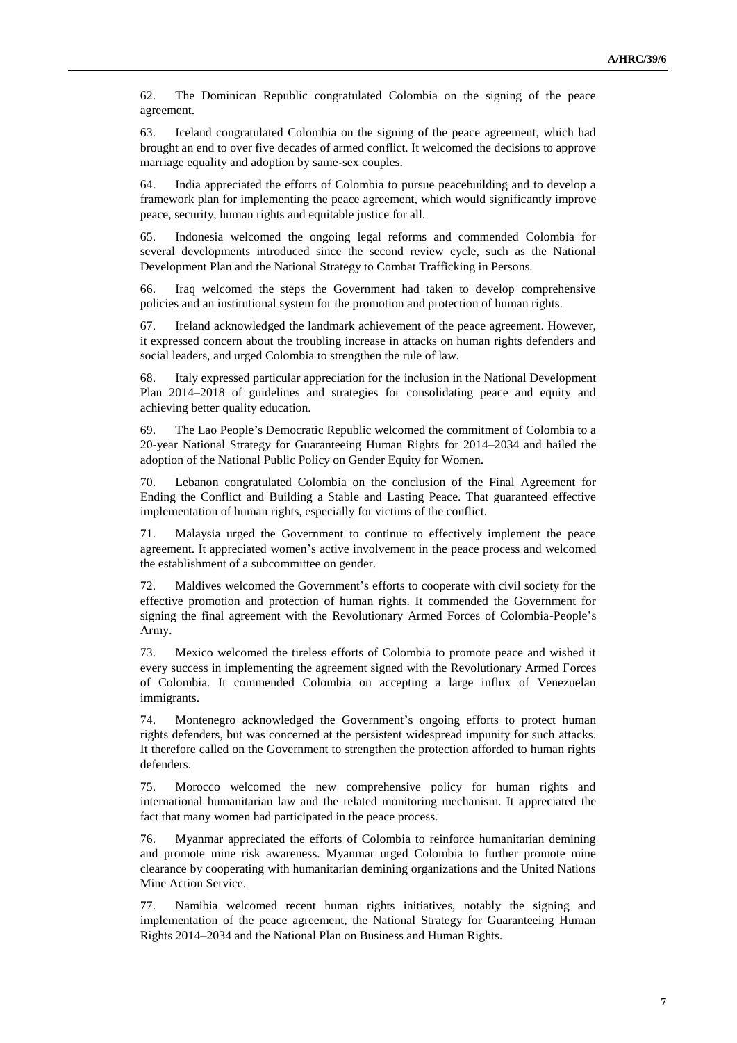62. The Dominican Republic congratulated Colombia on the signing of the peace agreement.

63. Iceland congratulated Colombia on the signing of the peace agreement, which had brought an end to over five decades of armed conflict. It welcomed the decisions to approve marriage equality and adoption by same-sex couples.

64. India appreciated the efforts of Colombia to pursue peacebuilding and to develop a framework plan for implementing the peace agreement, which would significantly improve peace, security, human rights and equitable justice for all.

65. Indonesia welcomed the ongoing legal reforms and commended Colombia for several developments introduced since the second review cycle, such as the National Development Plan and the National Strategy to Combat Trafficking in Persons.

66. Iraq welcomed the steps the Government had taken to develop comprehensive policies and an institutional system for the promotion and protection of human rights.

67. Ireland acknowledged the landmark achievement of the peace agreement. However, it expressed concern about the troubling increase in attacks on human rights defenders and social leaders, and urged Colombia to strengthen the rule of law.

68. Italy expressed particular appreciation for the inclusion in the National Development Plan 2014–2018 of guidelines and strategies for consolidating peace and equity and achieving better quality education.

69. The Lao People's Democratic Republic welcomed the commitment of Colombia to a 20-year National Strategy for Guaranteeing Human Rights for 2014–2034 and hailed the adoption of the National Public Policy on Gender Equity for Women.

70. Lebanon congratulated Colombia on the conclusion of the Final Agreement for Ending the Conflict and Building a Stable and Lasting Peace. That guaranteed effective implementation of human rights, especially for victims of the conflict.

71. Malaysia urged the Government to continue to effectively implement the peace agreement. It appreciated women's active involvement in the peace process and welcomed the establishment of a subcommittee on gender.

72. Maldives welcomed the Government's efforts to cooperate with civil society for the effective promotion and protection of human rights. It commended the Government for signing the final agreement with the Revolutionary Armed Forces of Colombia-People's Army.

73. Mexico welcomed the tireless efforts of Colombia to promote peace and wished it every success in implementing the agreement signed with the Revolutionary Armed Forces of Colombia. It commended Colombia on accepting a large influx of Venezuelan immigrants.

74. Montenegro acknowledged the Government's ongoing efforts to protect human rights defenders, but was concerned at the persistent widespread impunity for such attacks. It therefore called on the Government to strengthen the protection afforded to human rights defenders.

75. Morocco welcomed the new comprehensive policy for human rights and international humanitarian law and the related monitoring mechanism. It appreciated the fact that many women had participated in the peace process.

76. Myanmar appreciated the efforts of Colombia to reinforce humanitarian demining and promote mine risk awareness. Myanmar urged Colombia to further promote mine clearance by cooperating with humanitarian demining organizations and the United Nations Mine Action Service.

77. Namibia welcomed recent human rights initiatives, notably the signing and implementation of the peace agreement, the National Strategy for Guaranteeing Human Rights 2014–2034 and the National Plan on Business and Human Rights.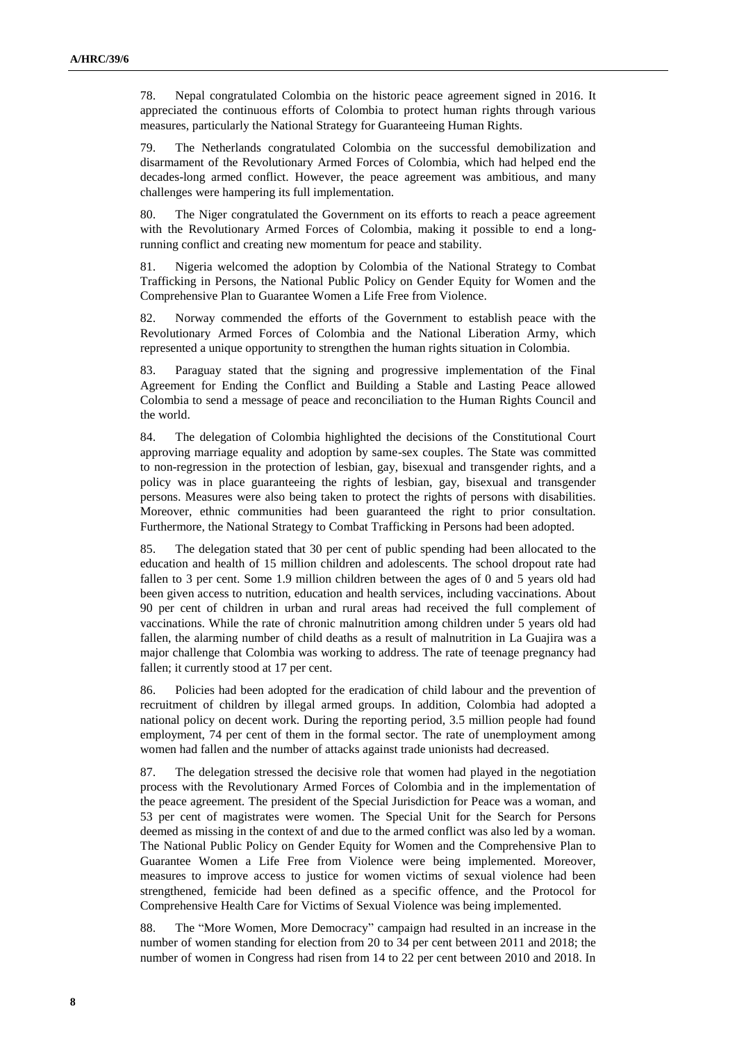78. Nepal congratulated Colombia on the historic peace agreement signed in 2016. It appreciated the continuous efforts of Colombia to protect human rights through various measures, particularly the National Strategy for Guaranteeing Human Rights.

79. The Netherlands congratulated Colombia on the successful demobilization and disarmament of the Revolutionary Armed Forces of Colombia, which had helped end the decades-long armed conflict. However, the peace agreement was ambitious, and many challenges were hampering its full implementation.

80. The Niger congratulated the Government on its efforts to reach a peace agreement with the Revolutionary Armed Forces of Colombia, making it possible to end a longrunning conflict and creating new momentum for peace and stability.

81. Nigeria welcomed the adoption by Colombia of the National Strategy to Combat Trafficking in Persons, the National Public Policy on Gender Equity for Women and the Comprehensive Plan to Guarantee Women a Life Free from Violence.

82. Norway commended the efforts of the Government to establish peace with the Revolutionary Armed Forces of Colombia and the National Liberation Army, which represented a unique opportunity to strengthen the human rights situation in Colombia.

83. Paraguay stated that the signing and progressive implementation of the Final Agreement for Ending the Conflict and Building a Stable and Lasting Peace allowed Colombia to send a message of peace and reconciliation to the Human Rights Council and the world.

84. The delegation of Colombia highlighted the decisions of the Constitutional Court approving marriage equality and adoption by same-sex couples. The State was committed to non-regression in the protection of lesbian, gay, bisexual and transgender rights, and a policy was in place guaranteeing the rights of lesbian, gay, bisexual and transgender persons. Measures were also being taken to protect the rights of persons with disabilities. Moreover, ethnic communities had been guaranteed the right to prior consultation. Furthermore, the National Strategy to Combat Trafficking in Persons had been adopted.

85. The delegation stated that 30 per cent of public spending had been allocated to the education and health of 15 million children and adolescents. The school dropout rate had fallen to 3 per cent. Some 1.9 million children between the ages of 0 and 5 years old had been given access to nutrition, education and health services, including vaccinations. About 90 per cent of children in urban and rural areas had received the full complement of vaccinations. While the rate of chronic malnutrition among children under 5 years old had fallen, the alarming number of child deaths as a result of malnutrition in La Guajira was a major challenge that Colombia was working to address. The rate of teenage pregnancy had fallen; it currently stood at 17 per cent.

86. Policies had been adopted for the eradication of child labour and the prevention of recruitment of children by illegal armed groups. In addition, Colombia had adopted a national policy on decent work. During the reporting period, 3.5 million people had found employment, 74 per cent of them in the formal sector. The rate of unemployment among women had fallen and the number of attacks against trade unionists had decreased.

87. The delegation stressed the decisive role that women had played in the negotiation process with the Revolutionary Armed Forces of Colombia and in the implementation of the peace agreement. The president of the Special Jurisdiction for Peace was a woman, and 53 per cent of magistrates were women. The Special Unit for the Search for Persons deemed as missing in the context of and due to the armed conflict was also led by a woman. The National Public Policy on Gender Equity for Women and the Comprehensive Plan to Guarantee Women a Life Free from Violence were being implemented. Moreover, measures to improve access to justice for women victims of sexual violence had been strengthened, femicide had been defined as a specific offence, and the Protocol for Comprehensive Health Care for Victims of Sexual Violence was being implemented.

88. The "More Women, More Democracy" campaign had resulted in an increase in the number of women standing for election from 20 to 34 per cent between 2011 and 2018; the number of women in Congress had risen from 14 to 22 per cent between 2010 and 2018. In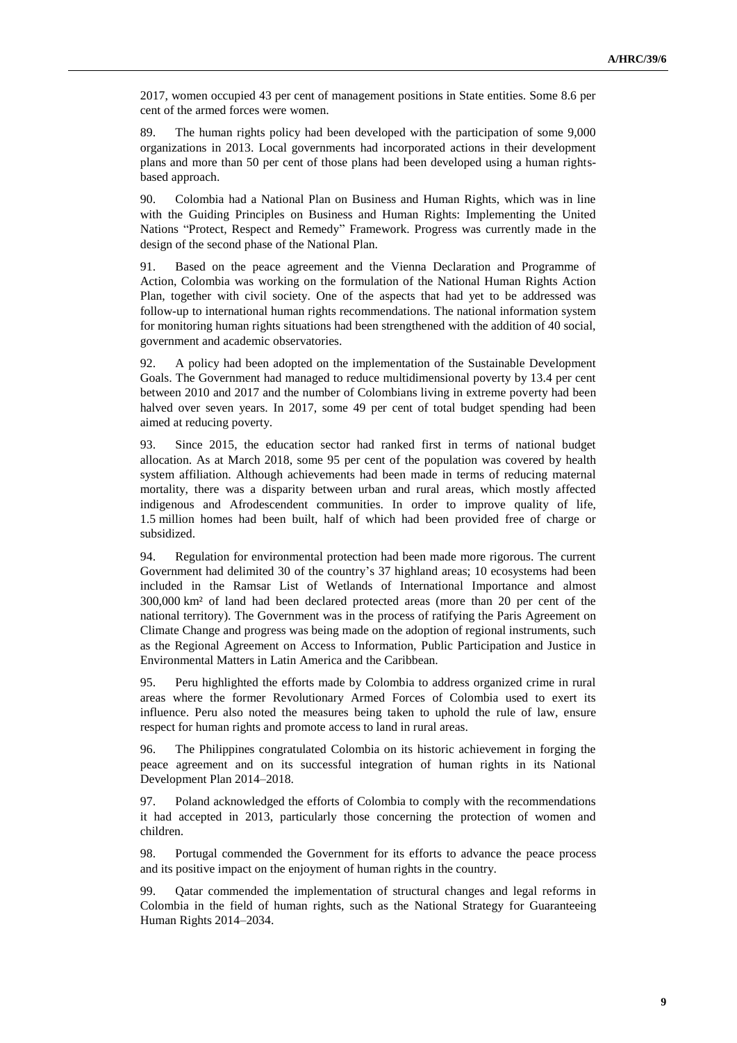2017, women occupied 43 per cent of management positions in State entities. Some 8.6 per cent of the armed forces were women.

89. The human rights policy had been developed with the participation of some 9,000 organizations in 2013. Local governments had incorporated actions in their development plans and more than 50 per cent of those plans had been developed using a human rightsbased approach.

90. Colombia had a National Plan on Business and Human Rights, which was in line with the Guiding Principles on Business and Human Rights: Implementing the United Nations "Protect, Respect and Remedy" Framework. Progress was currently made in the design of the second phase of the National Plan.

91. Based on the peace agreement and the Vienna Declaration and Programme of Action, Colombia was working on the formulation of the National Human Rights Action Plan, together with civil society. One of the aspects that had yet to be addressed was follow-up to international human rights recommendations. The national information system for monitoring human rights situations had been strengthened with the addition of 40 social, government and academic observatories.

92. A policy had been adopted on the implementation of the Sustainable Development Goals. The Government had managed to reduce multidimensional poverty by 13.4 per cent between 2010 and 2017 and the number of Colombians living in extreme poverty had been halved over seven years. In 2017, some 49 per cent of total budget spending had been aimed at reducing poverty.

93. Since 2015, the education sector had ranked first in terms of national budget allocation. As at March 2018, some 95 per cent of the population was covered by health system affiliation. Although achievements had been made in terms of reducing maternal mortality, there was a disparity between urban and rural areas, which mostly affected indigenous and Afrodescendent communities. In order to improve quality of life, 1.5 million homes had been built, half of which had been provided free of charge or subsidized.

94. Regulation for environmental protection had been made more rigorous. The current Government had delimited 30 of the country's 37 highland areas; 10 ecosystems had been included in the Ramsar List of Wetlands of International Importance and almost 300,000 km² of land had been declared protected areas (more than 20 per cent of the national territory). The Government was in the process of ratifying the Paris Agreement on Climate Change and progress was being made on the adoption of regional instruments, such as the Regional Agreement on Access to Information, Public Participation and Justice in Environmental Matters in Latin America and the Caribbean.

95. Peru highlighted the efforts made by Colombia to address organized crime in rural areas where the former Revolutionary Armed Forces of Colombia used to exert its influence. Peru also noted the measures being taken to uphold the rule of law, ensure respect for human rights and promote access to land in rural areas.

96. The Philippines congratulated Colombia on its historic achievement in forging the peace agreement and on its successful integration of human rights in its National Development Plan 2014–2018.

97. Poland acknowledged the efforts of Colombia to comply with the recommendations it had accepted in 2013, particularly those concerning the protection of women and children.

98. Portugal commended the Government for its efforts to advance the peace process and its positive impact on the enjoyment of human rights in the country.

99. Qatar commended the implementation of structural changes and legal reforms in Colombia in the field of human rights, such as the National Strategy for Guaranteeing Human Rights 2014–2034.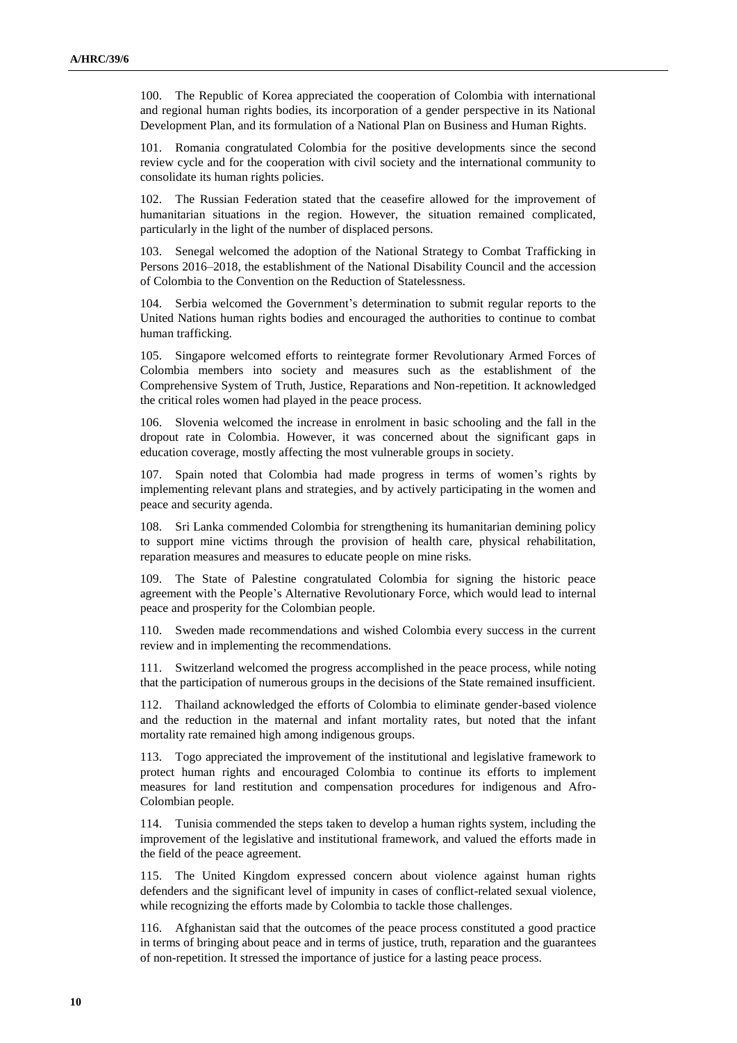100. The Republic of Korea appreciated the cooperation of Colombia with international and regional human rights bodies, its incorporation of a gender perspective in its National Development Plan, and its formulation of a National Plan on Business and Human Rights.

101. Romania congratulated Colombia for the positive developments since the second review cycle and for the cooperation with civil society and the international community to consolidate its human rights policies.

102. The Russian Federation stated that the ceasefire allowed for the improvement of humanitarian situations in the region. However, the situation remained complicated, particularly in the light of the number of displaced persons.

103. Senegal welcomed the adoption of the National Strategy to Combat Trafficking in Persons 2016–2018, the establishment of the National Disability Council and the accession of Colombia to the Convention on the Reduction of Statelessness.

104. Serbia welcomed the Government's determination to submit regular reports to the United Nations human rights bodies and encouraged the authorities to continue to combat human trafficking.

105. Singapore welcomed efforts to reintegrate former Revolutionary Armed Forces of Colombia members into society and measures such as the establishment of the Comprehensive System of Truth, Justice, Reparations and Non-repetition. It acknowledged the critical roles women had played in the peace process.

106. Slovenia welcomed the increase in enrolment in basic schooling and the fall in the dropout rate in Colombia. However, it was concerned about the significant gaps in education coverage, mostly affecting the most vulnerable groups in society.

107. Spain noted that Colombia had made progress in terms of women's rights by implementing relevant plans and strategies, and by actively participating in the women and peace and security agenda.

108. Sri Lanka commended Colombia for strengthening its humanitarian demining policy to support mine victims through the provision of health care, physical rehabilitation, reparation measures and measures to educate people on mine risks.

109. The State of Palestine congratulated Colombia for signing the historic peace agreement with the People's Alternative Revolutionary Force, which would lead to internal peace and prosperity for the Colombian people.

110. Sweden made recommendations and wished Colombia every success in the current review and in implementing the recommendations.

111. Switzerland welcomed the progress accomplished in the peace process, while noting that the participation of numerous groups in the decisions of the State remained insufficient.

112. Thailand acknowledged the efforts of Colombia to eliminate gender-based violence and the reduction in the maternal and infant mortality rates, but noted that the infant mortality rate remained high among indigenous groups.

113. Togo appreciated the improvement of the institutional and legislative framework to protect human rights and encouraged Colombia to continue its efforts to implement measures for land restitution and compensation procedures for indigenous and Afro-Colombian people.

114. Tunisia commended the steps taken to develop a human rights system, including the improvement of the legislative and institutional framework, and valued the efforts made in the field of the peace agreement.

115. The United Kingdom expressed concern about violence against human rights defenders and the significant level of impunity in cases of conflict-related sexual violence, while recognizing the efforts made by Colombia to tackle those challenges.

116. Afghanistan said that the outcomes of the peace process constituted a good practice in terms of bringing about peace and in terms of justice, truth, reparation and the guarantees of non-repetition. It stressed the importance of justice for a lasting peace process.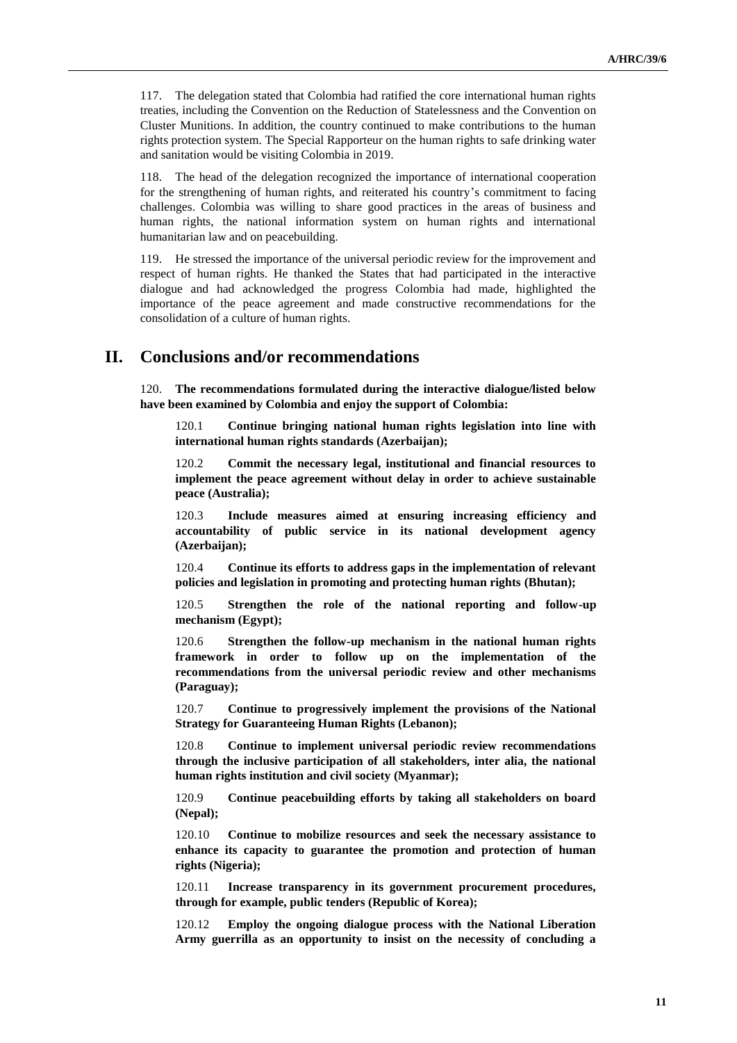117. The delegation stated that Colombia had ratified the core international human rights treaties, including the Convention on the Reduction of Statelessness and the Convention on Cluster Munitions. In addition, the country continued to make contributions to the human rights protection system. The Special Rapporteur on the human rights to safe drinking water and sanitation would be visiting Colombia in 2019.

118. The head of the delegation recognized the importance of international cooperation for the strengthening of human rights, and reiterated his country's commitment to facing challenges. Colombia was willing to share good practices in the areas of business and human rights, the national information system on human rights and international humanitarian law and on peacebuilding.

119. He stressed the importance of the universal periodic review for the improvement and respect of human rights. He thanked the States that had participated in the interactive dialogue and had acknowledged the progress Colombia had made, highlighted the importance of the peace agreement and made constructive recommendations for the consolidation of a culture of human rights.

### **II. Conclusions and/or recommendations**

120. **The recommendations formulated during the interactive dialogue/listed below have been examined by Colombia and enjoy the support of Colombia:**

120.1 **Continue bringing national human rights legislation into line with international human rights standards (Azerbaijan);**

120.2 **Commit the necessary legal, institutional and financial resources to implement the peace agreement without delay in order to achieve sustainable peace (Australia);**

120.3 **Include measures aimed at ensuring increasing efficiency and accountability of public service in its national development agency (Azerbaijan);**

120.4 **Continue its efforts to address gaps in the implementation of relevant policies and legislation in promoting and protecting human rights (Bhutan);**

120.5 **Strengthen the role of the national reporting and follow-up mechanism (Egypt);**

120.6 **Strengthen the follow-up mechanism in the national human rights framework in order to follow up on the implementation of the recommendations from the universal periodic review and other mechanisms (Paraguay);**

120.7 **Continue to progressively implement the provisions of the National Strategy for Guaranteeing Human Rights (Lebanon);**

120.8 **Continue to implement universal periodic review recommendations through the inclusive participation of all stakeholders, inter alia, the national human rights institution and civil society (Myanmar);**

120.9 **Continue peacebuilding efforts by taking all stakeholders on board (Nepal);**

120.10 **Continue to mobilize resources and seek the necessary assistance to enhance its capacity to guarantee the promotion and protection of human rights (Nigeria);**

120.11 **Increase transparency in its government procurement procedures, through for example, public tenders (Republic of Korea);**

120.12 **Employ the ongoing dialogue process with the National Liberation Army guerrilla as an opportunity to insist on the necessity of concluding a**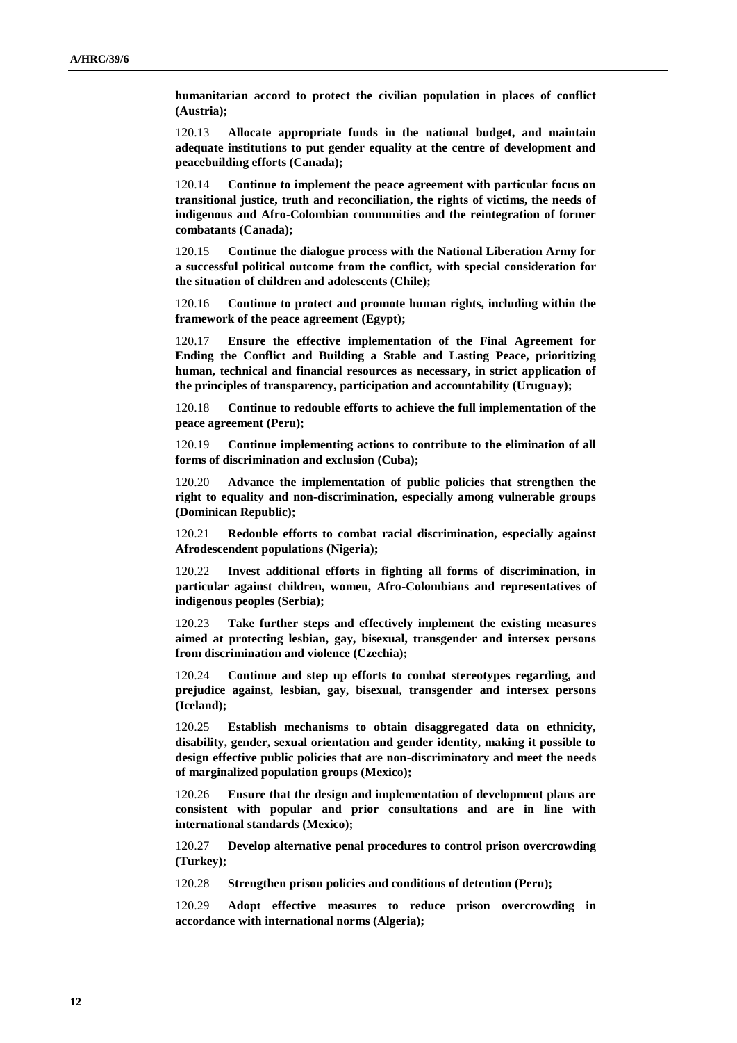**humanitarian accord to protect the civilian population in places of conflict (Austria);**

120.13 **Allocate appropriate funds in the national budget, and maintain adequate institutions to put gender equality at the centre of development and peacebuilding efforts (Canada);**

120.14 **Continue to implement the peace agreement with particular focus on transitional justice, truth and reconciliation, the rights of victims, the needs of indigenous and Afro-Colombian communities and the reintegration of former combatants (Canada);**

120.15 **Continue the dialogue process with the National Liberation Army for a successful political outcome from the conflict, with special consideration for the situation of children and adolescents (Chile);**

120.16 **Continue to protect and promote human rights, including within the framework of the peace agreement (Egypt);**

120.17 **Ensure the effective implementation of the Final Agreement for Ending the Conflict and Building a Stable and Lasting Peace, prioritizing human, technical and financial resources as necessary, in strict application of the principles of transparency, participation and accountability (Uruguay);**

120.18 **Continue to redouble efforts to achieve the full implementation of the peace agreement (Peru);**

120.19 **Continue implementing actions to contribute to the elimination of all forms of discrimination and exclusion (Cuba);**

120.20 **Advance the implementation of public policies that strengthen the right to equality and non-discrimination, especially among vulnerable groups (Dominican Republic);**

120.21 **Redouble efforts to combat racial discrimination, especially against Afrodescendent populations (Nigeria);**

120.22 **Invest additional efforts in fighting all forms of discrimination, in particular against children, women, Afro-Colombians and representatives of indigenous peoples (Serbia);**

120.23 **Take further steps and effectively implement the existing measures aimed at protecting lesbian, gay, bisexual, transgender and intersex persons from discrimination and violence (Czechia);**

120.24 **Continue and step up efforts to combat stereotypes regarding, and prejudice against, lesbian, gay, bisexual, transgender and intersex persons (Iceland);**

120.25 **Establish mechanisms to obtain disaggregated data on ethnicity, disability, gender, sexual orientation and gender identity, making it possible to design effective public policies that are non-discriminatory and meet the needs of marginalized population groups (Mexico);**

120.26 **Ensure that the design and implementation of development plans are consistent with popular and prior consultations and are in line with international standards (Mexico);**

120.27 **Develop alternative penal procedures to control prison overcrowding (Turkey);**

120.28 **Strengthen prison policies and conditions of detention (Peru);**

120.29 **Adopt effective measures to reduce prison overcrowding in accordance with international norms (Algeria);**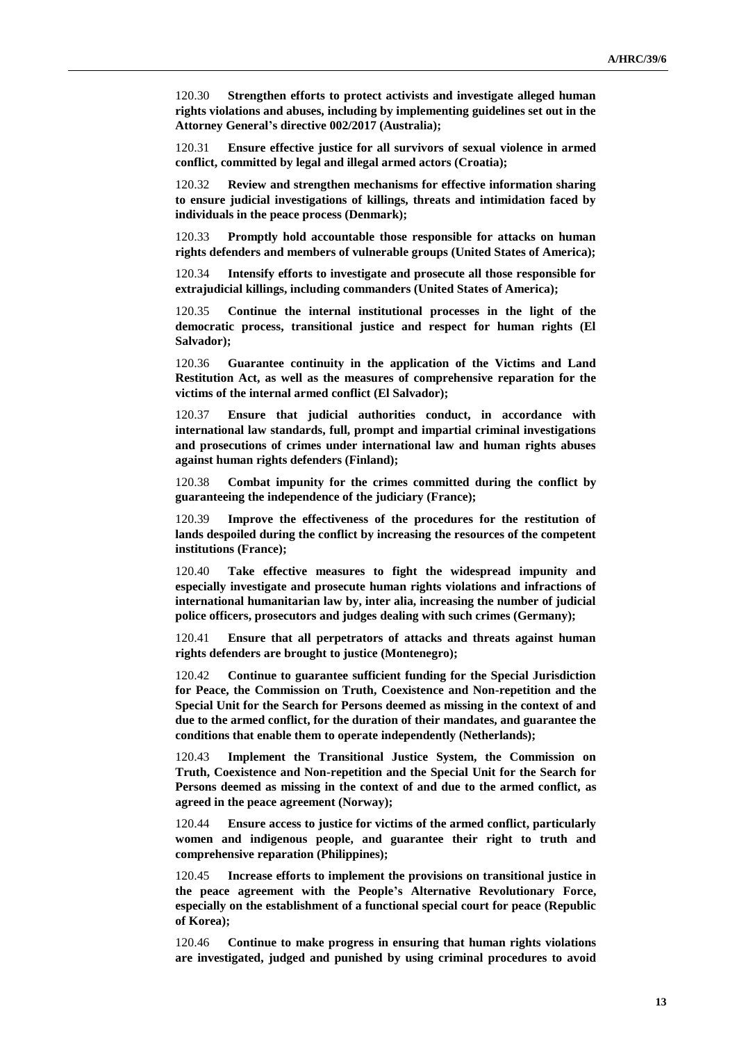120.30 **Strengthen efforts to protect activists and investigate alleged human rights violations and abuses, including by implementing guidelines set out in the Attorney General's directive 002/2017 (Australia);**

120.31 **Ensure effective justice for all survivors of sexual violence in armed conflict, committed by legal and illegal armed actors (Croatia);**

120.32 **Review and strengthen mechanisms for effective information sharing to ensure judicial investigations of killings, threats and intimidation faced by individuals in the peace process (Denmark);**

120.33 **Promptly hold accountable those responsible for attacks on human rights defenders and members of vulnerable groups (United States of America);**

120.34 **Intensify efforts to investigate and prosecute all those responsible for extrajudicial killings, including commanders (United States of America);**

120.35 **Continue the internal institutional processes in the light of the democratic process, transitional justice and respect for human rights (El Salvador);**

120.36 **Guarantee continuity in the application of the Victims and Land Restitution Act, as well as the measures of comprehensive reparation for the victims of the internal armed conflict (El Salvador);**

120.37 **Ensure that judicial authorities conduct, in accordance with international law standards, full, prompt and impartial criminal investigations and prosecutions of crimes under international law and human rights abuses against human rights defenders (Finland);**

120.38 **Combat impunity for the crimes committed during the conflict by guaranteeing the independence of the judiciary (France);**

120.39 **Improve the effectiveness of the procedures for the restitution of lands despoiled during the conflict by increasing the resources of the competent institutions (France);**

120.40 **Take effective measures to fight the widespread impunity and especially investigate and prosecute human rights violations and infractions of international humanitarian law by, inter alia, increasing the number of judicial police officers, prosecutors and judges dealing with such crimes (Germany);**

120.41 **Ensure that all perpetrators of attacks and threats against human rights defenders are brought to justice (Montenegro);**

120.42 **Continue to guarantee sufficient funding for the Special Jurisdiction for Peace, the Commission on Truth, Coexistence and Non-repetition and the Special Unit for the Search for Persons deemed as missing in the context of and due to the armed conflict, for the duration of their mandates, and guarantee the conditions that enable them to operate independently (Netherlands);**

120.43 **Implement the Transitional Justice System, the Commission on Truth, Coexistence and Non-repetition and the Special Unit for the Search for Persons deemed as missing in the context of and due to the armed conflict, as agreed in the peace agreement (Norway);**

120.44 **Ensure access to justice for victims of the armed conflict, particularly women and indigenous people, and guarantee their right to truth and comprehensive reparation (Philippines);**

120.45 **Increase efforts to implement the provisions on transitional justice in the peace agreement with the People's Alternative Revolutionary Force, especially on the establishment of a functional special court for peace (Republic of Korea);**

120.46 **Continue to make progress in ensuring that human rights violations are investigated, judged and punished by using criminal procedures to avoid**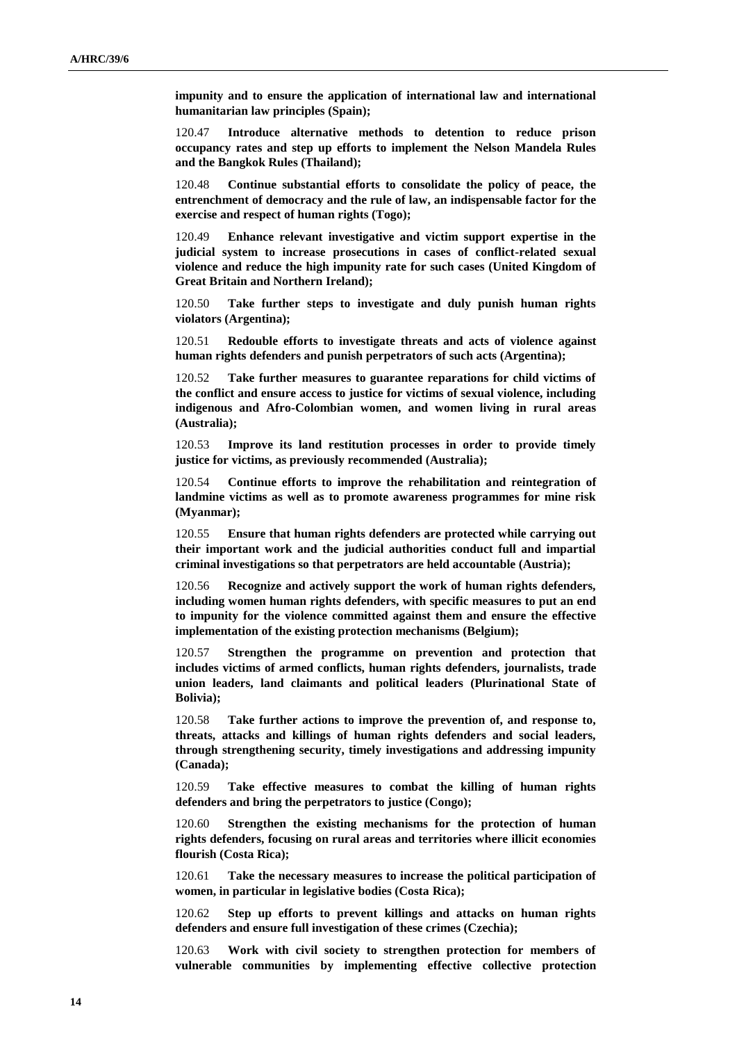**impunity and to ensure the application of international law and international humanitarian law principles (Spain);**

120.47 **Introduce alternative methods to detention to reduce prison occupancy rates and step up efforts to implement the Nelson Mandela Rules and the Bangkok Rules (Thailand);**

120.48 **Continue substantial efforts to consolidate the policy of peace, the entrenchment of democracy and the rule of law, an indispensable factor for the exercise and respect of human rights (Togo);**

120.49 **Enhance relevant investigative and victim support expertise in the judicial system to increase prosecutions in cases of conflict-related sexual violence and reduce the high impunity rate for such cases (United Kingdom of Great Britain and Northern Ireland);**

120.50 **Take further steps to investigate and duly punish human rights violators (Argentina);**

120.51 **Redouble efforts to investigate threats and acts of violence against human rights defenders and punish perpetrators of such acts (Argentina);**

120.52 **Take further measures to guarantee reparations for child victims of the conflict and ensure access to justice for victims of sexual violence, including indigenous and Afro-Colombian women, and women living in rural areas (Australia);**

120.53 **Improve its land restitution processes in order to provide timely justice for victims, as previously recommended (Australia);**

120.54 **Continue efforts to improve the rehabilitation and reintegration of landmine victims as well as to promote awareness programmes for mine risk (Myanmar);**

120.55 **Ensure that human rights defenders are protected while carrying out their important work and the judicial authorities conduct full and impartial criminal investigations so that perpetrators are held accountable (Austria);**

120.56 **Recognize and actively support the work of human rights defenders, including women human rights defenders, with specific measures to put an end to impunity for the violence committed against them and ensure the effective implementation of the existing protection mechanisms (Belgium);**

120.57 **Strengthen the programme on prevention and protection that includes victims of armed conflicts, human rights defenders, journalists, trade union leaders, land claimants and political leaders (Plurinational State of Bolivia);**

120.58 **Take further actions to improve the prevention of, and response to, threats, attacks and killings of human rights defenders and social leaders, through strengthening security, timely investigations and addressing impunity (Canada);**

120.59 **Take effective measures to combat the killing of human rights defenders and bring the perpetrators to justice (Congo);**

120.60 **Strengthen the existing mechanisms for the protection of human rights defenders, focusing on rural areas and territories where illicit economies flourish (Costa Rica);**

120.61 **Take the necessary measures to increase the political participation of women, in particular in legislative bodies (Costa Rica);**

120.62 **Step up efforts to prevent killings and attacks on human rights defenders and ensure full investigation of these crimes (Czechia);**

120.63 **Work with civil society to strengthen protection for members of vulnerable communities by implementing effective collective protection**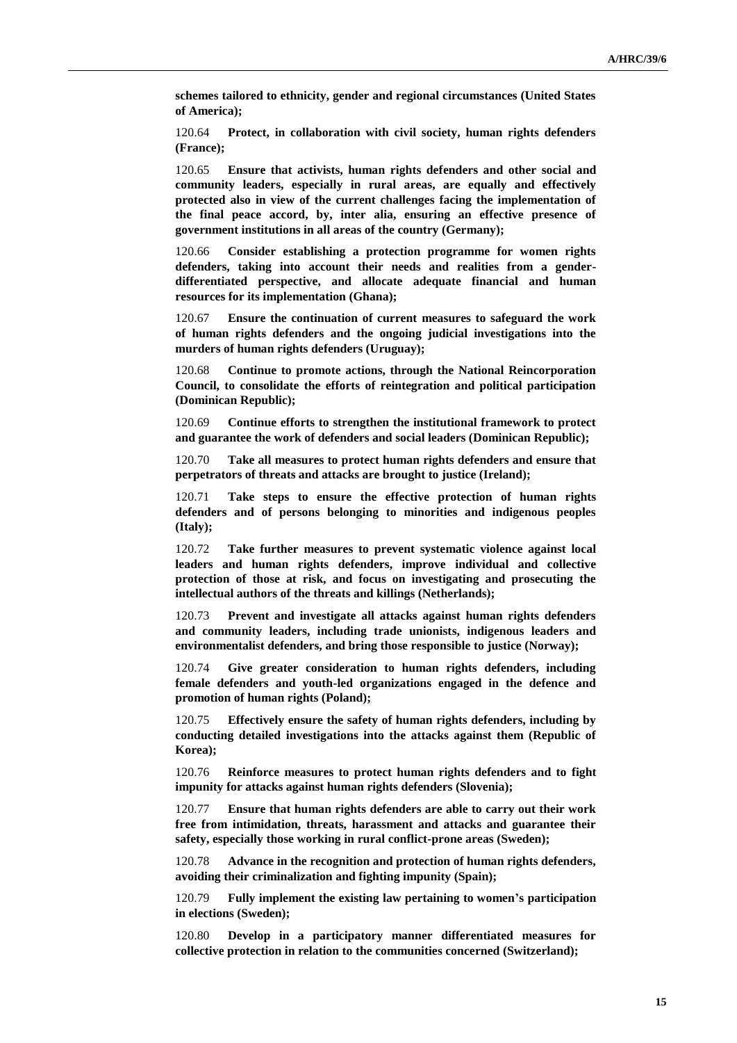**schemes tailored to ethnicity, gender and regional circumstances (United States of America);**

120.64 **Protect, in collaboration with civil society, human rights defenders (France);**

120.65 **Ensure that activists, human rights defenders and other social and community leaders, especially in rural areas, are equally and effectively protected also in view of the current challenges facing the implementation of the final peace accord, by, inter alia, ensuring an effective presence of government institutions in all areas of the country (Germany);**

120.66 **Consider establishing a protection programme for women rights defenders, taking into account their needs and realities from a genderdifferentiated perspective, and allocate adequate financial and human resources for its implementation (Ghana);**

120.67 **Ensure the continuation of current measures to safeguard the work of human rights defenders and the ongoing judicial investigations into the murders of human rights defenders (Uruguay);**

120.68 **Continue to promote actions, through the National Reincorporation Council, to consolidate the efforts of reintegration and political participation (Dominican Republic);**

120.69 **Continue efforts to strengthen the institutional framework to protect and guarantee the work of defenders and social leaders (Dominican Republic);**

120.70 **Take all measures to protect human rights defenders and ensure that perpetrators of threats and attacks are brought to justice (Ireland);**

120.71 **Take steps to ensure the effective protection of human rights defenders and of persons belonging to minorities and indigenous peoples (Italy);**

120.72 **Take further measures to prevent systematic violence against local leaders and human rights defenders, improve individual and collective protection of those at risk, and focus on investigating and prosecuting the intellectual authors of the threats and killings (Netherlands);**

120.73 **Prevent and investigate all attacks against human rights defenders and community leaders, including trade unionists, indigenous leaders and environmentalist defenders, and bring those responsible to justice (Norway);**

120.74 **Give greater consideration to human rights defenders, including female defenders and youth-led organizations engaged in the defence and promotion of human rights (Poland);**

120.75 **Effectively ensure the safety of human rights defenders, including by conducting detailed investigations into the attacks against them (Republic of Korea);**

120.76 **Reinforce measures to protect human rights defenders and to fight impunity for attacks against human rights defenders (Slovenia);**

120.77 **Ensure that human rights defenders are able to carry out their work free from intimidation, threats, harassment and attacks and guarantee their safety, especially those working in rural conflict-prone areas (Sweden);**

120.78 **Advance in the recognition and protection of human rights defenders, avoiding their criminalization and fighting impunity (Spain);**

120.79 **Fully implement the existing law pertaining to women's participation in elections (Sweden);**

120.80 **Develop in a participatory manner differentiated measures for collective protection in relation to the communities concerned (Switzerland);**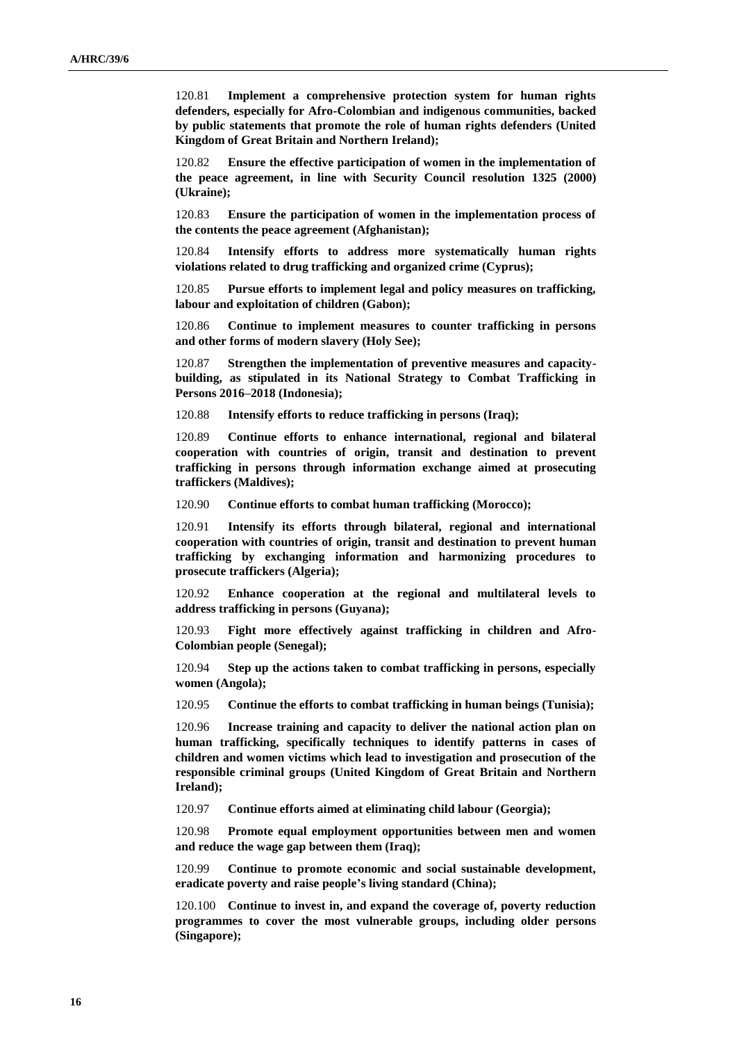120.81 **Implement a comprehensive protection system for human rights defenders, especially for Afro-Colombian and indigenous communities, backed by public statements that promote the role of human rights defenders (United Kingdom of Great Britain and Northern Ireland);**

120.82 **Ensure the effective participation of women in the implementation of the peace agreement, in line with Security Council resolution 1325 (2000) (Ukraine);**

120.83 **Ensure the participation of women in the implementation process of the contents the peace agreement (Afghanistan);**

120.84 **Intensify efforts to address more systematically human rights violations related to drug trafficking and organized crime (Cyprus);**

120.85 **Pursue efforts to implement legal and policy measures on trafficking, labour and exploitation of children (Gabon);**

120.86 **Continue to implement measures to counter trafficking in persons and other forms of modern slavery (Holy See);**

120.87 **Strengthen the implementation of preventive measures and capacitybuilding, as stipulated in its National Strategy to Combat Trafficking in Persons 2016–2018 (Indonesia);**

120.88 **Intensify efforts to reduce trafficking in persons (Iraq);**

120.89 **Continue efforts to enhance international, regional and bilateral cooperation with countries of origin, transit and destination to prevent trafficking in persons through information exchange aimed at prosecuting traffickers (Maldives);**

120.90 **Continue efforts to combat human trafficking (Morocco);**

120.91 **Intensify its efforts through bilateral, regional and international cooperation with countries of origin, transit and destination to prevent human trafficking by exchanging information and harmonizing procedures to prosecute traffickers (Algeria);**

120.92 **Enhance cooperation at the regional and multilateral levels to address trafficking in persons (Guyana);**

120.93 **Fight more effectively against trafficking in children and Afro-Colombian people (Senegal);**

120.94 **Step up the actions taken to combat trafficking in persons, especially women (Angola);** 

120.95 **Continue the efforts to combat trafficking in human beings (Tunisia);**

120.96 **Increase training and capacity to deliver the national action plan on human trafficking, specifically techniques to identify patterns in cases of children and women victims which lead to investigation and prosecution of the responsible criminal groups (United Kingdom of Great Britain and Northern Ireland);**

120.97 **Continue efforts aimed at eliminating child labour (Georgia);**

120.98 **Promote equal employment opportunities between men and women and reduce the wage gap between them (Iraq);**

120.99 **Continue to promote economic and social sustainable development, eradicate poverty and raise people's living standard (China);**

120.100 **Continue to invest in, and expand the coverage of, poverty reduction programmes to cover the most vulnerable groups, including older persons (Singapore);**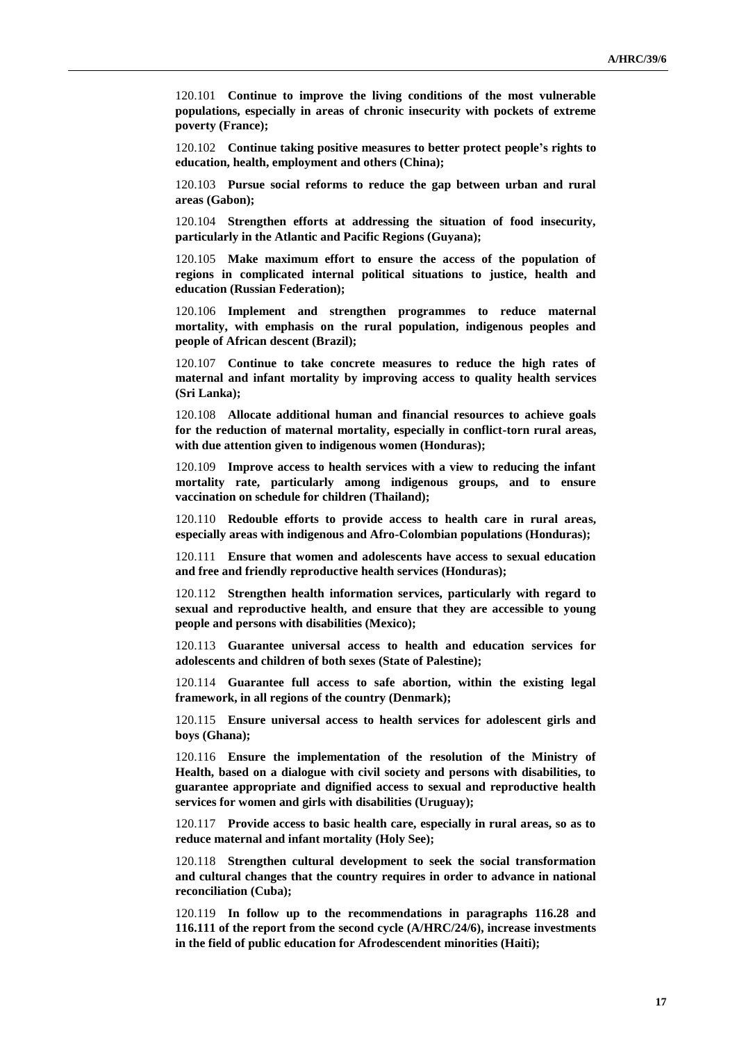120.101 **Continue to improve the living conditions of the most vulnerable populations, especially in areas of chronic insecurity with pockets of extreme poverty (France);**

120.102 **Continue taking positive measures to better protect people's rights to education, health, employment and others (China);**

120.103 **Pursue social reforms to reduce the gap between urban and rural areas (Gabon);**

120.104 **Strengthen efforts at addressing the situation of food insecurity, particularly in the Atlantic and Pacific Regions (Guyana);**

120.105 **Make maximum effort to ensure the access of the population of regions in complicated internal political situations to justice, health and education (Russian Federation);**

120.106 **Implement and strengthen programmes to reduce maternal mortality, with emphasis on the rural population, indigenous peoples and people of African descent (Brazil);**

120.107 **Continue to take concrete measures to reduce the high rates of maternal and infant mortality by improving access to quality health services (Sri Lanka);**

120.108 **Allocate additional human and financial resources to achieve goals for the reduction of maternal mortality, especially in conflict-torn rural areas, with due attention given to indigenous women (Honduras);**

120.109 **Improve access to health services with a view to reducing the infant mortality rate, particularly among indigenous groups, and to ensure vaccination on schedule for children (Thailand);**

120.110 **Redouble efforts to provide access to health care in rural areas, especially areas with indigenous and Afro-Colombian populations (Honduras);**

120.111 **Ensure that women and adolescents have access to sexual education and free and friendly reproductive health services (Honduras);**

120.112 **Strengthen health information services, particularly with regard to sexual and reproductive health, and ensure that they are accessible to young people and persons with disabilities (Mexico);**

120.113 **Guarantee universal access to health and education services for adolescents and children of both sexes (State of Palestine);**

120.114 **Guarantee full access to safe abortion, within the existing legal framework, in all regions of the country (Denmark);**

120.115 **Ensure universal access to health services for adolescent girls and boys (Ghana);**

120.116 **Ensure the implementation of the resolution of the Ministry of Health, based on a dialogue with civil society and persons with disabilities, to guarantee appropriate and dignified access to sexual and reproductive health services for women and girls with disabilities (Uruguay);**

120.117 **Provide access to basic health care, especially in rural areas, so as to reduce maternal and infant mortality (Holy See);**

120.118 **Strengthen cultural development to seek the social transformation and cultural changes that the country requires in order to advance in national reconciliation (Cuba);**

120.119 **In follow up to the recommendations in paragraphs 116.28 and 116.111 of the report from the second cycle (A/HRC/24/6), increase investments in the field of public education for Afrodescendent minorities (Haiti);**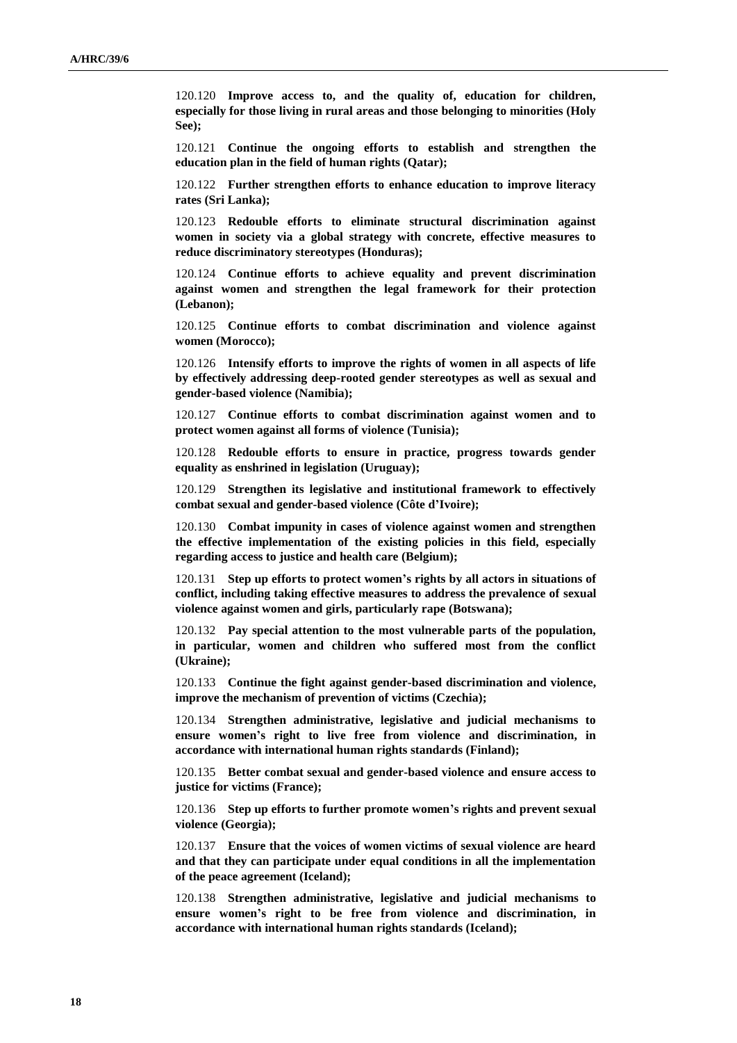120.120 **Improve access to, and the quality of, education for children, especially for those living in rural areas and those belonging to minorities (Holy See);**

120.121 **Continue the ongoing efforts to establish and strengthen the education plan in the field of human rights (Qatar);**

120.122 **Further strengthen efforts to enhance education to improve literacy rates (Sri Lanka);**

120.123 **Redouble efforts to eliminate structural discrimination against women in society via a global strategy with concrete, effective measures to reduce discriminatory stereotypes (Honduras);**

120.124 **Continue efforts to achieve equality and prevent discrimination against women and strengthen the legal framework for their protection (Lebanon);**

120.125 **Continue efforts to combat discrimination and violence against women (Morocco);**

120.126 **Intensify efforts to improve the rights of women in all aspects of life by effectively addressing deep-rooted gender stereotypes as well as sexual and gender-based violence (Namibia);**

120.127 **Continue efforts to combat discrimination against women and to protect women against all forms of violence (Tunisia);**

120.128 **Redouble efforts to ensure in practice, progress towards gender equality as enshrined in legislation (Uruguay);**

120.129 **Strengthen its legislative and institutional framework to effectively combat sexual and gender-based violence (Côte d'Ivoire);**

120.130 **Combat impunity in cases of violence against women and strengthen the effective implementation of the existing policies in this field, especially regarding access to justice and health care (Belgium);**

120.131 **Step up efforts to protect women's rights by all actors in situations of conflict, including taking effective measures to address the prevalence of sexual violence against women and girls, particularly rape (Botswana);**

120.132 **Pay special attention to the most vulnerable parts of the population, in particular, women and children who suffered most from the conflict (Ukraine);**

120.133 **Continue the fight against gender-based discrimination and violence, improve the mechanism of prevention of victims (Czechia);**

120.134 **Strengthen administrative, legislative and judicial mechanisms to ensure women's right to live free from violence and discrimination, in accordance with international human rights standards (Finland);**

120.135 **Better combat sexual and gender-based violence and ensure access to justice for victims (France);**

120.136 **Step up efforts to further promote women's rights and prevent sexual violence (Georgia);**

120.137 **Ensure that the voices of women victims of sexual violence are heard and that they can participate under equal conditions in all the implementation of the peace agreement (Iceland);**

120.138 **Strengthen administrative, legislative and judicial mechanisms to ensure women's right to be free from violence and discrimination, in accordance with international human rights standards (Iceland);**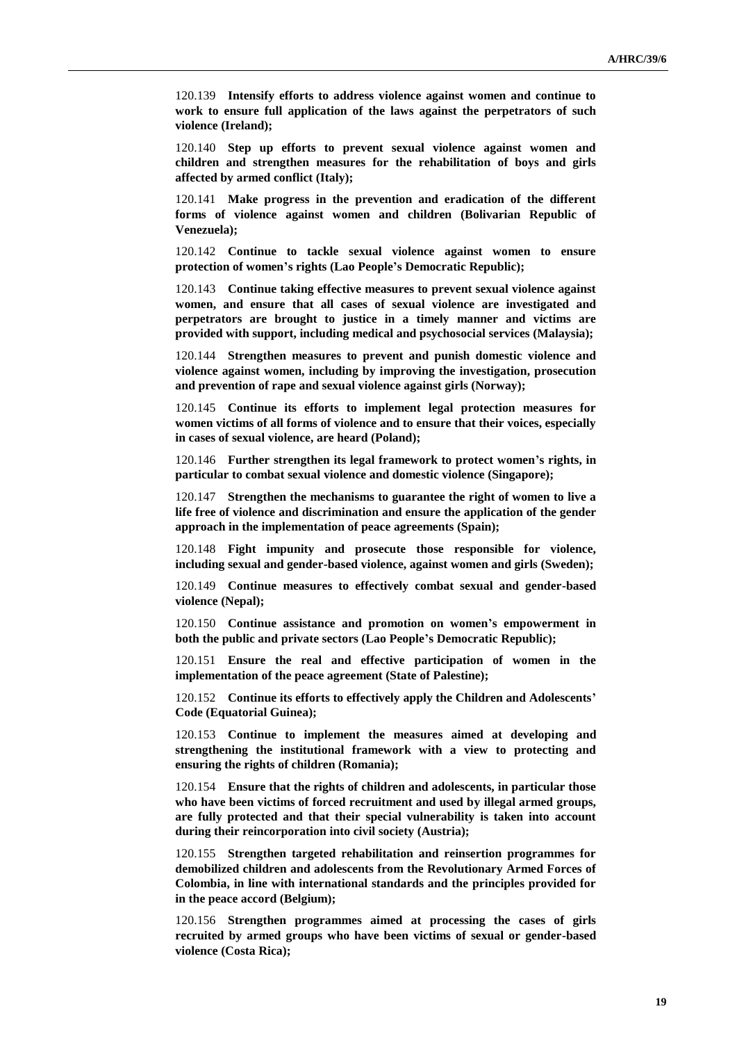120.139 **Intensify efforts to address violence against women and continue to work to ensure full application of the laws against the perpetrators of such violence (Ireland);**

120.140 **Step up efforts to prevent sexual violence against women and children and strengthen measures for the rehabilitation of boys and girls affected by armed conflict (Italy);**

120.141 **Make progress in the prevention and eradication of the different forms of violence against women and children (Bolivarian Republic of Venezuela);**

120.142 **Continue to tackle sexual violence against women to ensure protection of women's rights (Lao People's Democratic Republic);**

120.143 **Continue taking effective measures to prevent sexual violence against women, and ensure that all cases of sexual violence are investigated and perpetrators are brought to justice in a timely manner and victims are provided with support, including medical and psychosocial services (Malaysia);**

120.144 **Strengthen measures to prevent and punish domestic violence and violence against women, including by improving the investigation, prosecution and prevention of rape and sexual violence against girls (Norway);**

120.145 **Continue its efforts to implement legal protection measures for women victims of all forms of violence and to ensure that their voices, especially in cases of sexual violence, are heard (Poland);**

120.146 **Further strengthen its legal framework to protect women's rights, in particular to combat sexual violence and domestic violence (Singapore);**

120.147 **Strengthen the mechanisms to guarantee the right of women to live a life free of violence and discrimination and ensure the application of the gender approach in the implementation of peace agreements (Spain);**

120.148 **Fight impunity and prosecute those responsible for violence, including sexual and gender-based violence, against women and girls (Sweden);**

120.149 **Continue measures to effectively combat sexual and gender-based violence (Nepal);**

120.150 **Continue assistance and promotion on women's empowerment in both the public and private sectors (Lao People's Democratic Republic);**

120.151 **Ensure the real and effective participation of women in the implementation of the peace agreement (State of Palestine);**

120.152 **Continue its efforts to effectively apply the Children and Adolescents' Code (Equatorial Guinea);**

120.153 **Continue to implement the measures aimed at developing and strengthening the institutional framework with a view to protecting and ensuring the rights of children (Romania);**

120.154 **Ensure that the rights of children and adolescents, in particular those who have been victims of forced recruitment and used by illegal armed groups, are fully protected and that their special vulnerability is taken into account during their reincorporation into civil society (Austria);**

120.155 **Strengthen targeted rehabilitation and reinsertion programmes for demobilized children and adolescents from the Revolutionary Armed Forces of Colombia, in line with international standards and the principles provided for in the peace accord (Belgium);**

120.156 **Strengthen programmes aimed at processing the cases of girls recruited by armed groups who have been victims of sexual or gender-based violence (Costa Rica);**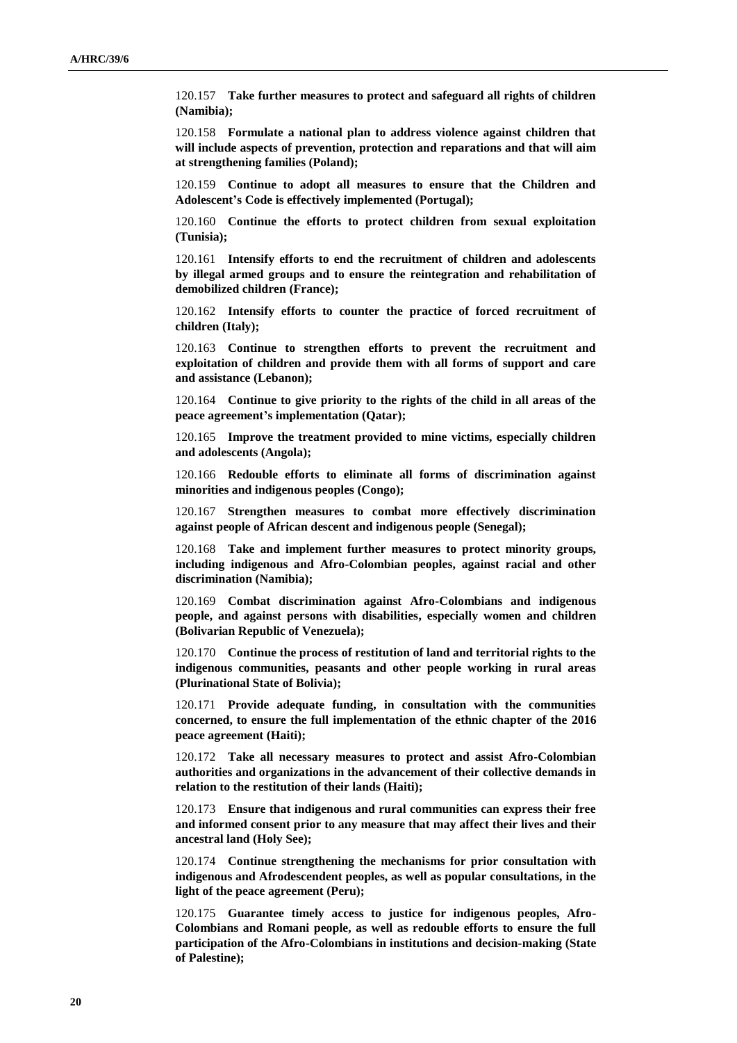120.157 **Take further measures to protect and safeguard all rights of children (Namibia);**

120.158 **Formulate a national plan to address violence against children that will include aspects of prevention, protection and reparations and that will aim at strengthening families (Poland);**

120.159 **Continue to adopt all measures to ensure that the Children and Adolescent's Code is effectively implemented (Portugal);**

120.160 **Continue the efforts to protect children from sexual exploitation (Tunisia);**

120.161 **Intensify efforts to end the recruitment of children and adolescents by illegal armed groups and to ensure the reintegration and rehabilitation of demobilized children (France);**

120.162 **Intensify efforts to counter the practice of forced recruitment of children (Italy);**

120.163 **Continue to strengthen efforts to prevent the recruitment and exploitation of children and provide them with all forms of support and care and assistance (Lebanon);**

120.164 **Continue to give priority to the rights of the child in all areas of the peace agreement's implementation (Qatar);**

120.165 **Improve the treatment provided to mine victims, especially children and adolescents (Angola);**

120.166 **Redouble efforts to eliminate all forms of discrimination against minorities and indigenous peoples (Congo);**

120.167 **Strengthen measures to combat more effectively discrimination against people of African descent and indigenous people (Senegal);**

120.168 **Take and implement further measures to protect minority groups, including indigenous and Afro-Colombian peoples, against racial and other discrimination (Namibia);**

120.169 **Combat discrimination against Afro-Colombians and indigenous people, and against persons with disabilities, especially women and children (Bolivarian Republic of Venezuela);**

120.170 **Continue the process of restitution of land and territorial rights to the indigenous communities, peasants and other people working in rural areas (Plurinational State of Bolivia);**

120.171 **Provide adequate funding, in consultation with the communities concerned, to ensure the full implementation of the ethnic chapter of the 2016 peace agreement (Haiti);**

120.172 **Take all necessary measures to protect and assist Afro-Colombian authorities and organizations in the advancement of their collective demands in relation to the restitution of their lands (Haiti);**

120.173 **Ensure that indigenous and rural communities can express their free and informed consent prior to any measure that may affect their lives and their ancestral land (Holy See);**

120.174 **Continue strengthening the mechanisms for prior consultation with indigenous and Afrodescendent peoples, as well as popular consultations, in the light of the peace agreement (Peru);**

120.175 **Guarantee timely access to justice for indigenous peoples, Afro-Colombians and Romani people, as well as redouble efforts to ensure the full participation of the Afro-Colombians in institutions and decision-making (State of Palestine);**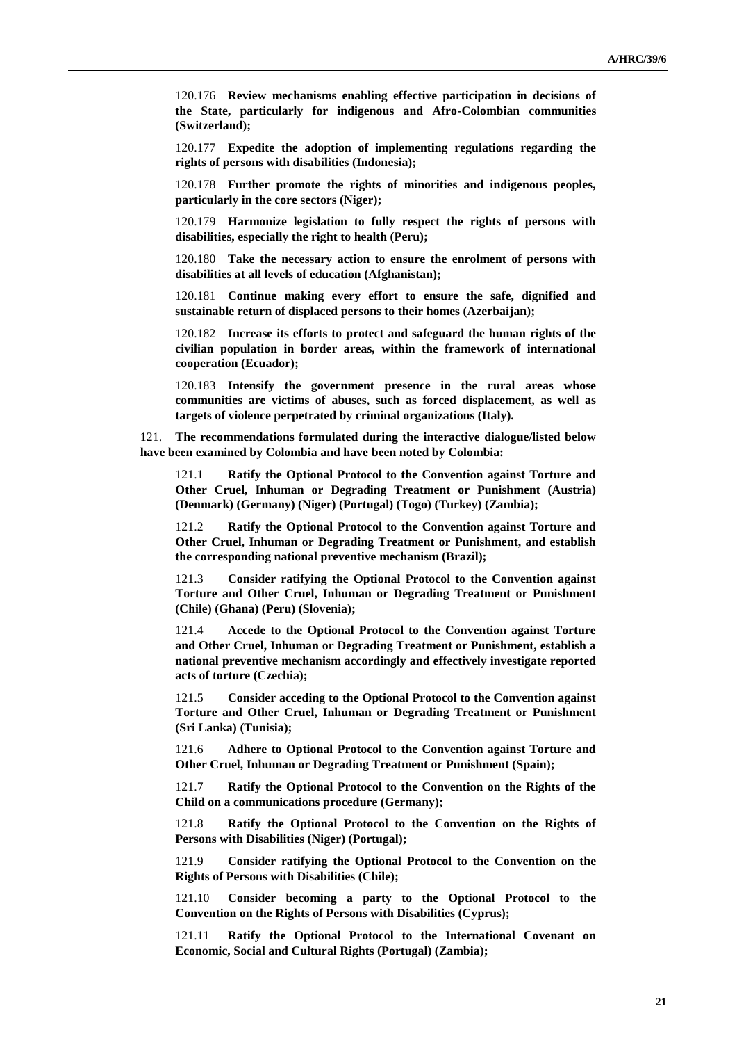120.176 **Review mechanisms enabling effective participation in decisions of the State, particularly for indigenous and Afro-Colombian communities (Switzerland);**

120.177 **Expedite the adoption of implementing regulations regarding the rights of persons with disabilities (Indonesia);**

120.178 **Further promote the rights of minorities and indigenous peoples, particularly in the core sectors (Niger);**

120.179 **Harmonize legislation to fully respect the rights of persons with disabilities, especially the right to health (Peru);**

120.180 **Take the necessary action to ensure the enrolment of persons with disabilities at all levels of education (Afghanistan);**

120.181 **Continue making every effort to ensure the safe, dignified and sustainable return of displaced persons to their homes (Azerbaijan);**

120.182 **Increase its efforts to protect and safeguard the human rights of the civilian population in border areas, within the framework of international cooperation (Ecuador);**

120.183 **Intensify the government presence in the rural areas whose communities are victims of abuses, such as forced displacement, as well as targets of violence perpetrated by criminal organizations (Italy).**

121. **The recommendations formulated during the interactive dialogue/listed below have been examined by Colombia and have been noted by Colombia:**

121.1 **Ratify the Optional Protocol to the Convention against Torture and Other Cruel, Inhuman or Degrading Treatment or Punishment (Austria) (Denmark) (Germany) (Niger) (Portugal) (Togo) (Turkey) (Zambia);**

121.2 **Ratify the Optional Protocol to the Convention against Torture and Other Cruel, Inhuman or Degrading Treatment or Punishment, and establish the corresponding national preventive mechanism (Brazil);**

121.3 **Consider ratifying the Optional Protocol to the Convention against Torture and Other Cruel, Inhuman or Degrading Treatment or Punishment (Chile) (Ghana) (Peru) (Slovenia);**

121.4 **Accede to the Optional Protocol to the Convention against Torture and Other Cruel, Inhuman or Degrading Treatment or Punishment, establish a national preventive mechanism accordingly and effectively investigate reported acts of torture (Czechia);**

121.5 **Consider acceding to the Optional Protocol to the Convention against Torture and Other Cruel, Inhuman or Degrading Treatment or Punishment (Sri Lanka) (Tunisia);**

121.6 **Adhere to Optional Protocol to the Convention against Torture and Other Cruel, Inhuman or Degrading Treatment or Punishment (Spain);**

121.7 **Ratify the Optional Protocol to the Convention on the Rights of the Child on a communications procedure (Germany);**

121.8 **Ratify the Optional Protocol to the Convention on the Rights of Persons with Disabilities (Niger) (Portugal);**

121.9 **Consider ratifying the Optional Protocol to the Convention on the Rights of Persons with Disabilities (Chile);**

121.10 **Consider becoming a party to the Optional Protocol to the Convention on the Rights of Persons with Disabilities (Cyprus);**

121.11 **Ratify the Optional Protocol to the International Covenant on Economic, Social and Cultural Rights (Portugal) (Zambia);**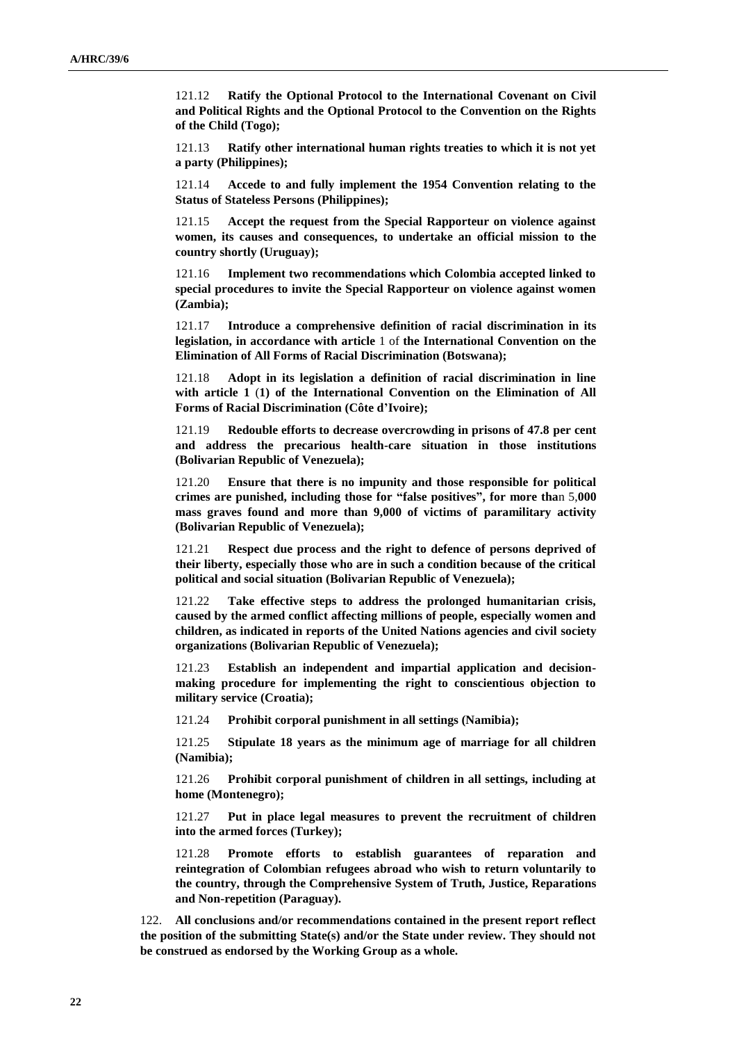121.12 **Ratify the Optional Protocol to the International Covenant on Civil and Political Rights and the Optional Protocol to the Convention on the Rights of the Child (Togo);**

121.13 **Ratify other international human rights treaties to which it is not yet a party (Philippines);**

121.14 **Accede to and fully implement the 1954 Convention relating to the Status of Stateless Persons (Philippines);**

121.15 **Accept the request from the Special Rapporteur on violence against women, its causes and consequences, to undertake an official mission to the country shortly (Uruguay);**

121.16 **Implement two recommendations which Colombia accepted linked to special procedures to invite the Special Rapporteur on violence against women (Zambia);**

121.17 **Introduce a comprehensive definition of racial discrimination in its legislation, in accordance with article** 1 of **the International Convention on the Elimination of All Forms of Racial Discrimination (Botswana);**

121.18 **Adopt in its legislation a definition of racial discrimination in line with article 1** (**1) of the International Convention on the Elimination of All Forms of Racial Discrimination (Côte d'Ivoire);**

121.19 **Redouble efforts to decrease overcrowding in prisons of 47.8 per cent and address the precarious health-care situation in those institutions (Bolivarian Republic of Venezuela);**

121.20 **Ensure that there is no impunity and those responsible for political crimes are punished, including those for "false positives", for more tha**n 5,**000 mass graves found and more than 9,000 of victims of paramilitary activity (Bolivarian Republic of Venezuela);**

121.21 **Respect due process and the right to defence of persons deprived of their liberty, especially those who are in such a condition because of the critical political and social situation (Bolivarian Republic of Venezuela);**

121.22 **Take effective steps to address the prolonged humanitarian crisis, caused by the armed conflict affecting millions of people, especially women and children, as indicated in reports of the United Nations agencies and civil society organizations (Bolivarian Republic of Venezuela);**

121.23 **Establish an independent and impartial application and decisionmaking procedure for implementing the right to conscientious objection to military service (Croatia);**

121.24 **Prohibit corporal punishment in all settings (Namibia);**

121.25 **Stipulate 18 years as the minimum age of marriage for all children (Namibia);**

121.26 **Prohibit corporal punishment of children in all settings, including at home (Montenegro);**

121.27 **Put in place legal measures to prevent the recruitment of children into the armed forces (Turkey);**

121.28 **Promote efforts to establish guarantees of reparation and reintegration of Colombian refugees abroad who wish to return voluntarily to the country, through the Comprehensive System of Truth, Justice, Reparations and Non-repetition (Paraguay).**

122. **All conclusions and/or recommendations contained in the present report reflect the position of the submitting State(s) and/or the State under review. They should not be construed as endorsed by the Working Group as a whole.**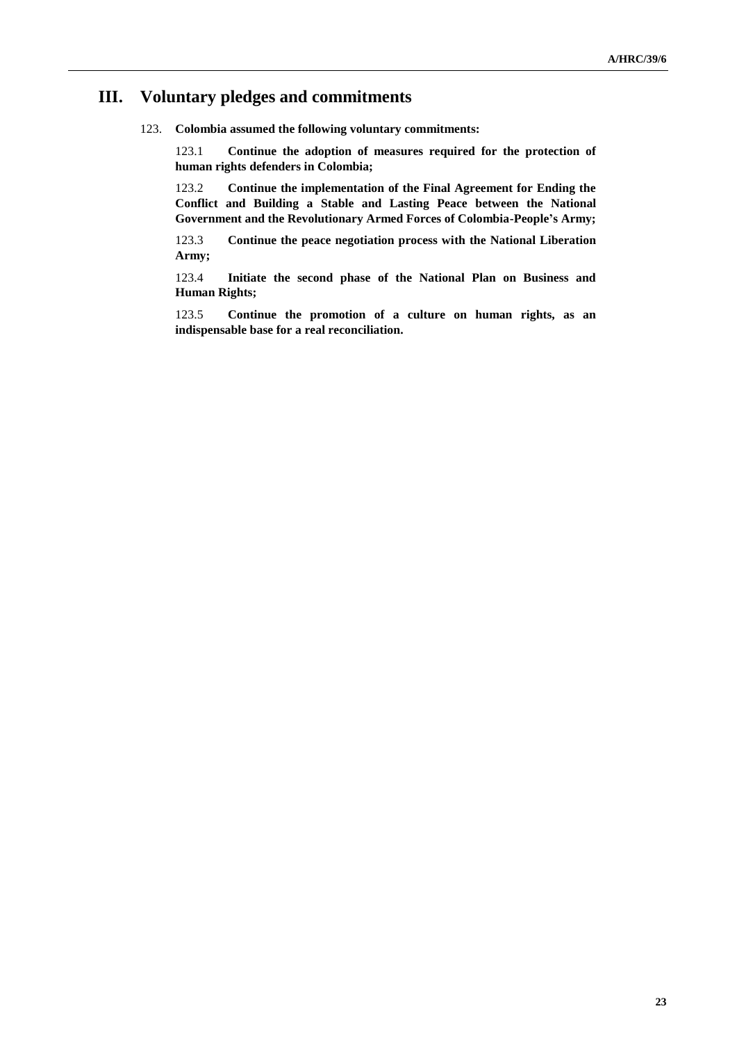# **III. Voluntary pledges and commitments**

123. **Colombia assumed the following voluntary commitments:**

123.1 **Continue the adoption of measures required for the protection of human rights defenders in Colombia;**

123.2 **Continue the implementation of the Final Agreement for Ending the Conflict and Building a Stable and Lasting Peace between the National Government and the Revolutionary Armed Forces of Colombia-People's Army;**

123.3 **Continue the peace negotiation process with the National Liberation Army;**

123.4 **Initiate the second phase of the National Plan on Business and Human Rights;**

123.5 **Continue the promotion of a culture on human rights, as an indispensable base for a real reconciliation.**